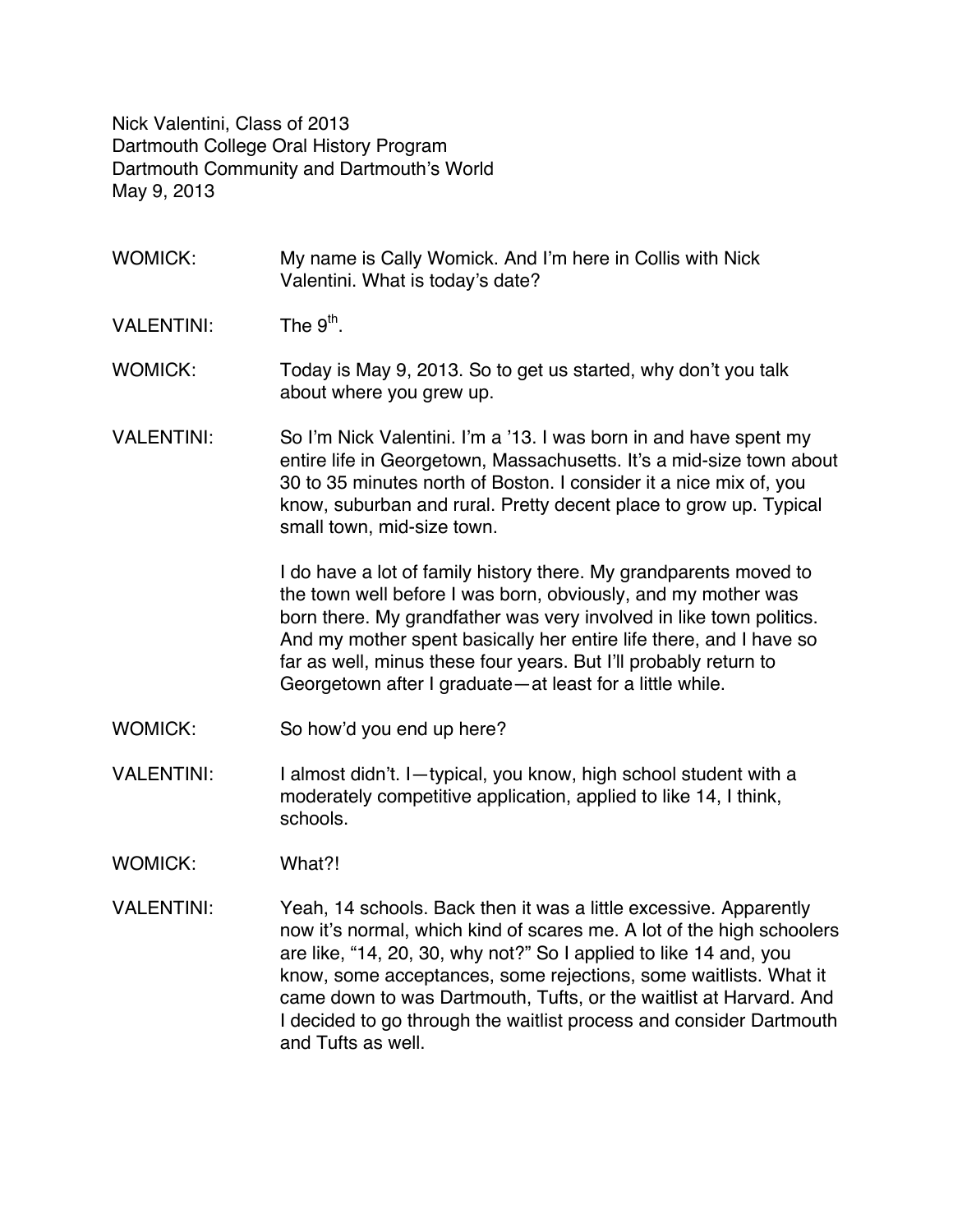Nick Valentini, Class of 2013 Dartmouth College Oral History Program Dartmouth Community and Dartmouth's World May 9, 2013

- WOMICK: My name is Cally Womick. And I'm here in Collis with Nick Valentini. What is today's date?
- VALENTINI: The  $9<sup>th</sup>$
- WOMICK: Today is May 9, 2013. So to get us started, why don't you talk about where you grew up.
- VALENTINI: So I'm Nick Valentini. I'm a '13. I was born in and have spent my entire life in Georgetown, Massachusetts. It's a mid-size town about 30 to 35 minutes north of Boston. I consider it a nice mix of, you know, suburban and rural. Pretty decent place to grow up. Typical small town, mid-size town.

I do have a lot of family history there. My grandparents moved to the town well before I was born, obviously, and my mother was born there. My grandfather was very involved in like town politics. And my mother spent basically her entire life there, and I have so far as well, minus these four years. But I'll probably return to Georgetown after I graduate—at least for a little while.

- WOMICK: So how'd you end up here?
- VALENTINI: I almost didn't. I—typical, you know, high school student with a moderately competitive application, applied to like 14, I think, schools.
- WOMICK: What?!
- VALENTINI: Yeah, 14 schools. Back then it was a little excessive. Apparently now it's normal, which kind of scares me. A lot of the high schoolers are like, "14, 20, 30, why not?" So I applied to like 14 and, you know, some acceptances, some rejections, some waitlists. What it came down to was Dartmouth, Tufts, or the waitlist at Harvard. And I decided to go through the waitlist process and consider Dartmouth and Tufts as well.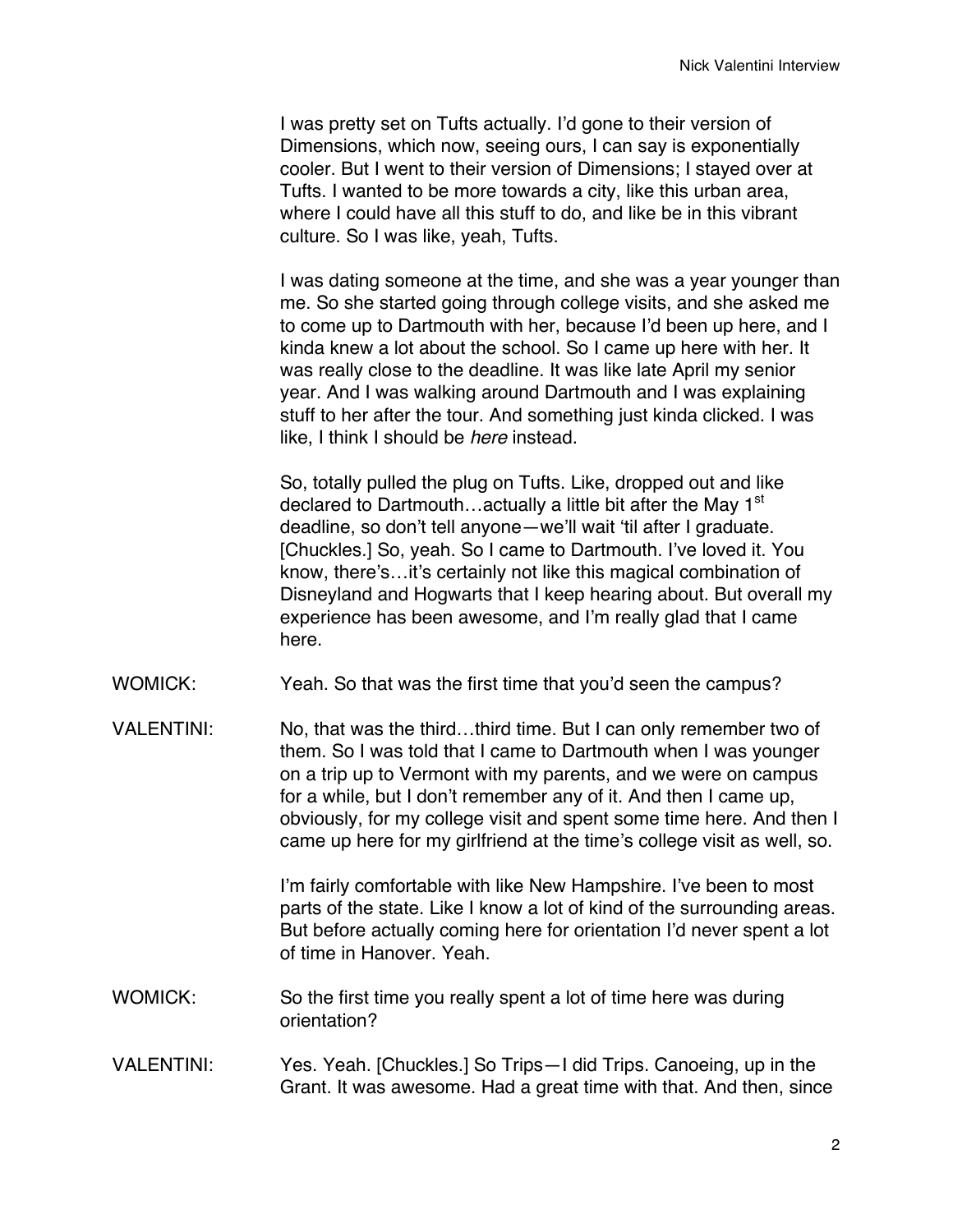I was pretty set on Tufts actually. I'd gone to their version of Dimensions, which now, seeing ours, I can say is exponentially cooler. But I went to their version of Dimensions; I stayed over at Tufts. I wanted to be more towards a city, like this urban area, where I could have all this stuff to do, and like be in this vibrant culture. So I was like, yeah, Tufts.

I was dating someone at the time, and she was a year younger than me. So she started going through college visits, and she asked me to come up to Dartmouth with her, because I'd been up here, and I kinda knew a lot about the school. So I came up here with her. It was really close to the deadline. It was like late April my senior year. And I was walking around Dartmouth and I was explaining stuff to her after the tour. And something just kinda clicked. I was like, I think I should be *here* instead.

So, totally pulled the plug on Tufts. Like, dropped out and like declared to Dartmouth... actually a little bit after the May  $1<sup>st</sup>$ deadline, so don't tell anyone—we'll wait 'til after I graduate. [Chuckles.] So, yeah. So I came to Dartmouth. I've loved it. You know, there's…it's certainly not like this magical combination of Disneyland and Hogwarts that I keep hearing about. But overall my experience has been awesome, and I'm really glad that I came here.

- WOMICK: Yeah. So that was the first time that you'd seen the campus?
- VALENTINI: No, that was the third…third time. But I can only remember two of them. So I was told that I came to Dartmouth when I was younger on a trip up to Vermont with my parents, and we were on campus for a while, but I don't remember any of it. And then I came up, obviously, for my college visit and spent some time here. And then I came up here for my girlfriend at the time's college visit as well, so.

I'm fairly comfortable with like New Hampshire. I've been to most parts of the state. Like I know a lot of kind of the surrounding areas. But before actually coming here for orientation I'd never spent a lot of time in Hanover. Yeah.

- WOMICK: So the first time you really spent a lot of time here was during orientation?
- VALENTINI: Yes. Yeah. [Chuckles.] So Trips—I did Trips. Canoeing, up in the Grant. It was awesome. Had a great time with that. And then, since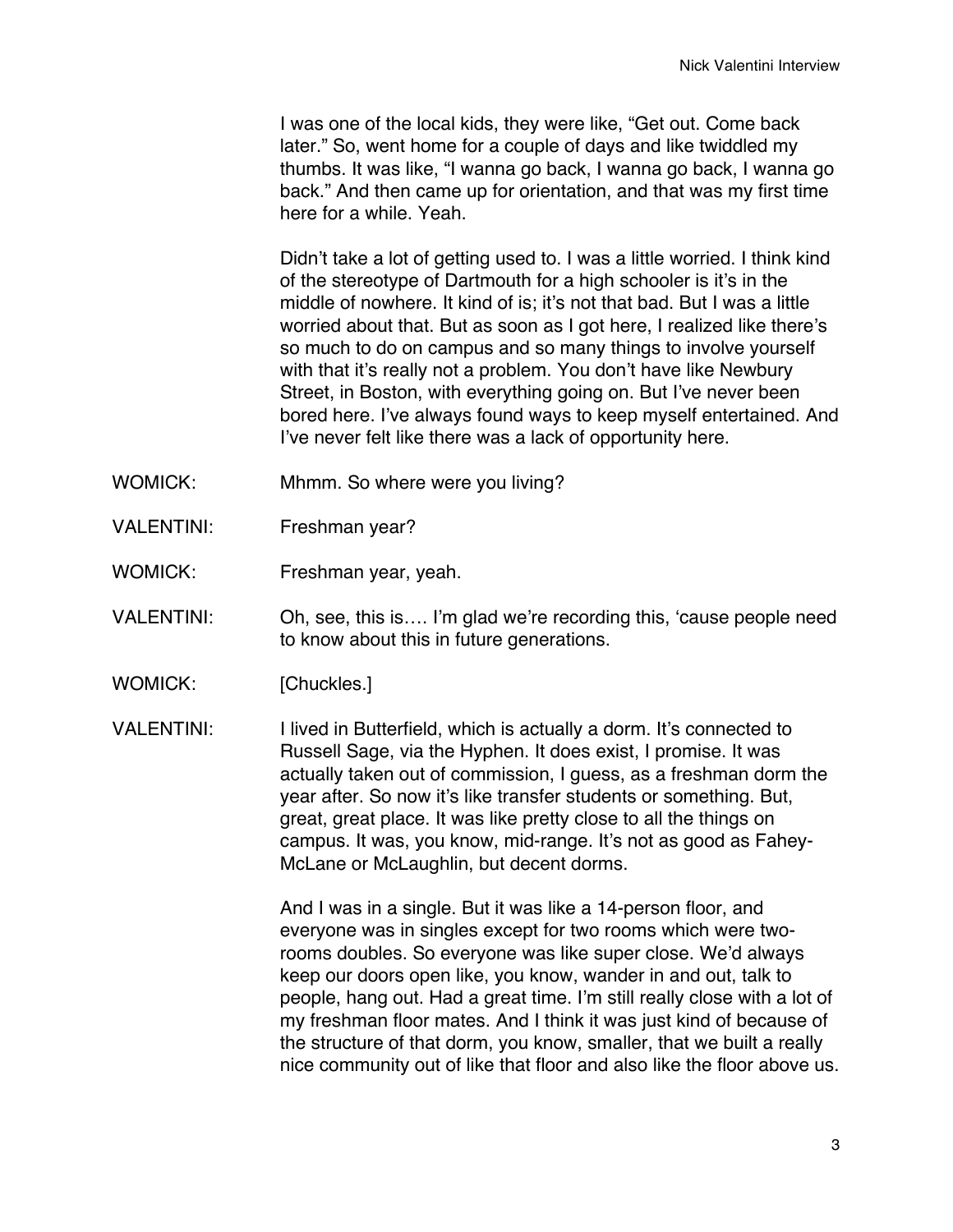I was one of the local kids, they were like, "Get out. Come back later." So, went home for a couple of days and like twiddled my thumbs. It was like, "I wanna go back, I wanna go back, I wanna go back." And then came up for orientation, and that was my first time here for a while. Yeah.

Didn't take a lot of getting used to. I was a little worried. I think kind of the stereotype of Dartmouth for a high schooler is it's in the middle of nowhere. It kind of is; it's not that bad. But I was a little worried about that. But as soon as I got here, I realized like there's so much to do on campus and so many things to involve yourself with that it's really not a problem. You don't have like Newbury Street, in Boston, with everything going on. But I've never been bored here. I've always found ways to keep myself entertained. And I've never felt like there was a lack of opportunity here.

- WOMICK: Mhmm. So where were you living?
- VALENTINI: Freshman year?
- WOMICK: Freshman year, yeah.
- VALENTINI: Oh, see, this is…. I'm glad we're recording this, 'cause people need to know about this in future generations.
- WOMICK: [Chuckles.]
- VALENTINI: I lived in Butterfield, which is actually a dorm. It's connected to Russell Sage, via the Hyphen. It does exist, I promise. It was actually taken out of commission, I guess, as a freshman dorm the year after. So now it's like transfer students or something. But, great, great place. It was like pretty close to all the things on campus. It was, you know, mid-range. It's not as good as Fahey-McLane or McLaughlin, but decent dorms.

And I was in a single. But it was like a 14-person floor, and everyone was in singles except for two rooms which were tworooms doubles. So everyone was like super close. We'd always keep our doors open like, you know, wander in and out, talk to people, hang out. Had a great time. I'm still really close with a lot of my freshman floor mates. And I think it was just kind of because of the structure of that dorm, you know, smaller, that we built a really nice community out of like that floor and also like the floor above us.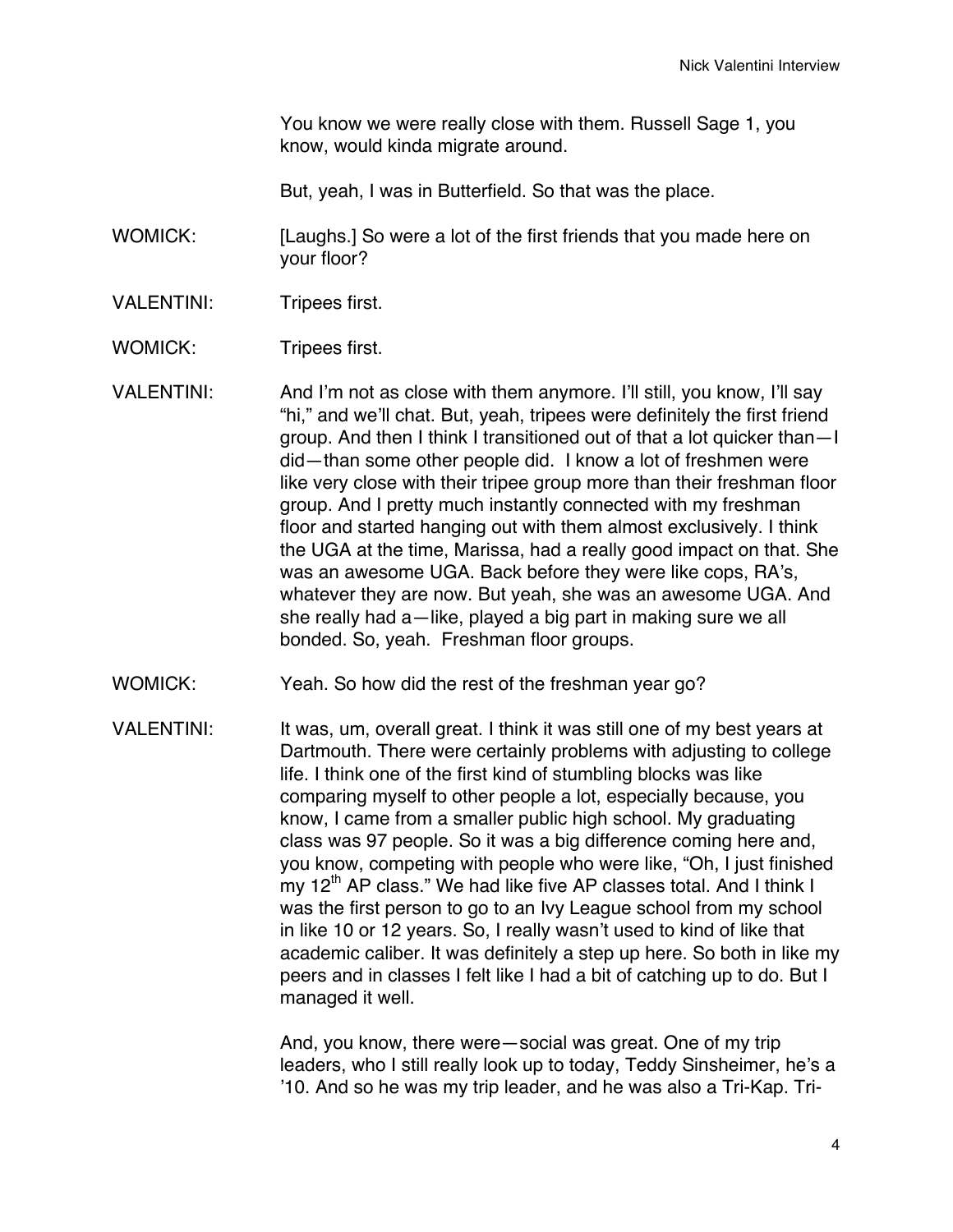You know we were really close with them. Russell Sage 1, you know, would kinda migrate around.

But, yeah, I was in Butterfield. So that was the place.

WOMICK: [Laughs.] So were a lot of the first friends that you made here on your floor?

- VALENTINI: Tripees first.
- WOMICK: Tripees first.
- VALENTINI: And I'm not as close with them anymore. I'll still, you know, I'll say "hi," and we'll chat. But, yeah, tripees were definitely the first friend group. And then I think I transitioned out of that a lot quicker than—I did—than some other people did. I know a lot of freshmen were like very close with their tripee group more than their freshman floor group. And I pretty much instantly connected with my freshman floor and started hanging out with them almost exclusively. I think the UGA at the time, Marissa, had a really good impact on that. She was an awesome UGA. Back before they were like cops, RA's, whatever they are now. But yeah, she was an awesome UGA. And she really had a—like, played a big part in making sure we all bonded. So, yeah. Freshman floor groups.
- WOMICK: Yeah. So how did the rest of the freshman year go?
- VALENTINI: It was, um, overall great. I think it was still one of my best years at Dartmouth. There were certainly problems with adjusting to college life. I think one of the first kind of stumbling blocks was like comparing myself to other people a lot, especially because, you know, I came from a smaller public high school. My graduating class was 97 people. So it was a big difference coming here and, you know, competing with people who were like, "Oh, I just finished my  $12<sup>th</sup>$  AP class." We had like five AP classes total. And I think I was the first person to go to an Ivy League school from my school in like 10 or 12 years. So, I really wasn't used to kind of like that academic caliber. It was definitely a step up here. So both in like my peers and in classes I felt like I had a bit of catching up to do. But I managed it well.

And, you know, there were—social was great. One of my trip leaders, who I still really look up to today, Teddy Sinsheimer, he's a '10. And so he was my trip leader, and he was also a Tri-Kap. Tri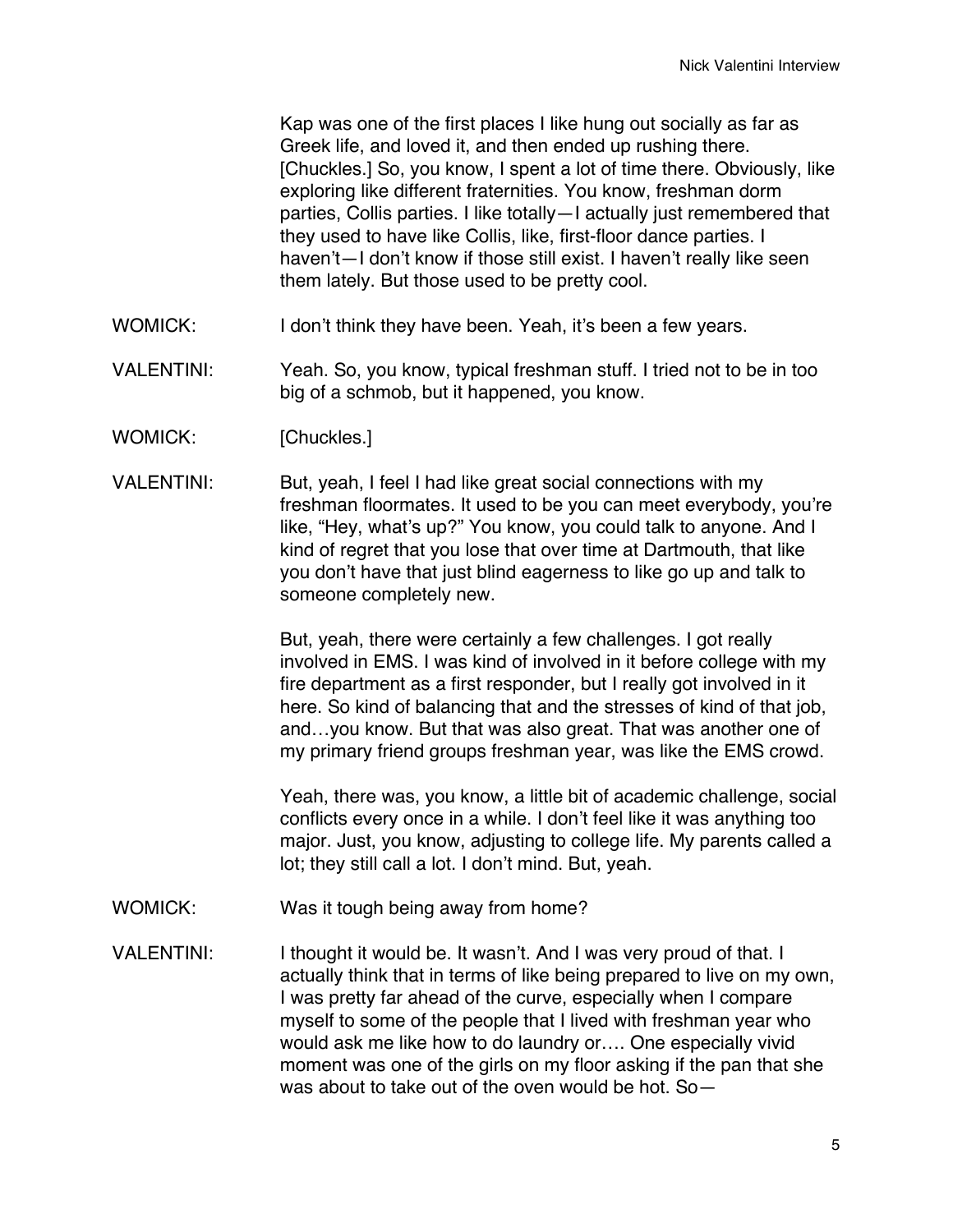Kap was one of the first places I like hung out socially as far as Greek life, and loved it, and then ended up rushing there. [Chuckles.] So, you know, I spent a lot of time there. Obviously, like exploring like different fraternities. You know, freshman dorm parties, Collis parties. I like totally—I actually just remembered that they used to have like Collis, like, first-floor dance parties. I haven't—I don't know if those still exist. I haven't really like seen them lately. But those used to be pretty cool.

- WOMICK: I don't think they have been. Yeah, it's been a few years.
- VALENTINI: Yeah. So, you know, typical freshman stuff. I tried not to be in too big of a schmob, but it happened, you know.
- WOMICK: [Chuckles.]
- VALENTINI: But, yeah, I feel I had like great social connections with my freshman floormates. It used to be you can meet everybody, you're like, "Hey, what's up?" You know, you could talk to anyone. And I kind of regret that you lose that over time at Dartmouth, that like you don't have that just blind eagerness to like go up and talk to someone completely new.

But, yeah, there were certainly a few challenges. I got really involved in EMS. I was kind of involved in it before college with my fire department as a first responder, but I really got involved in it here. So kind of balancing that and the stresses of kind of that job, and…you know. But that was also great. That was another one of my primary friend groups freshman year, was like the EMS crowd.

Yeah, there was, you know, a little bit of academic challenge, social conflicts every once in a while. I don't feel like it was anything too major. Just, you know, adjusting to college life. My parents called a lot; they still call a lot. I don't mind. But, yeah.

- WOMICK: Was it tough being away from home?
- VALENTINI: I thought it would be. It wasn't. And I was very proud of that. I actually think that in terms of like being prepared to live on my own, I was pretty far ahead of the curve, especially when I compare myself to some of the people that I lived with freshman year who would ask me like how to do laundry or…. One especially vivid moment was one of the girls on my floor asking if the pan that she was about to take out of the oven would be hot. So—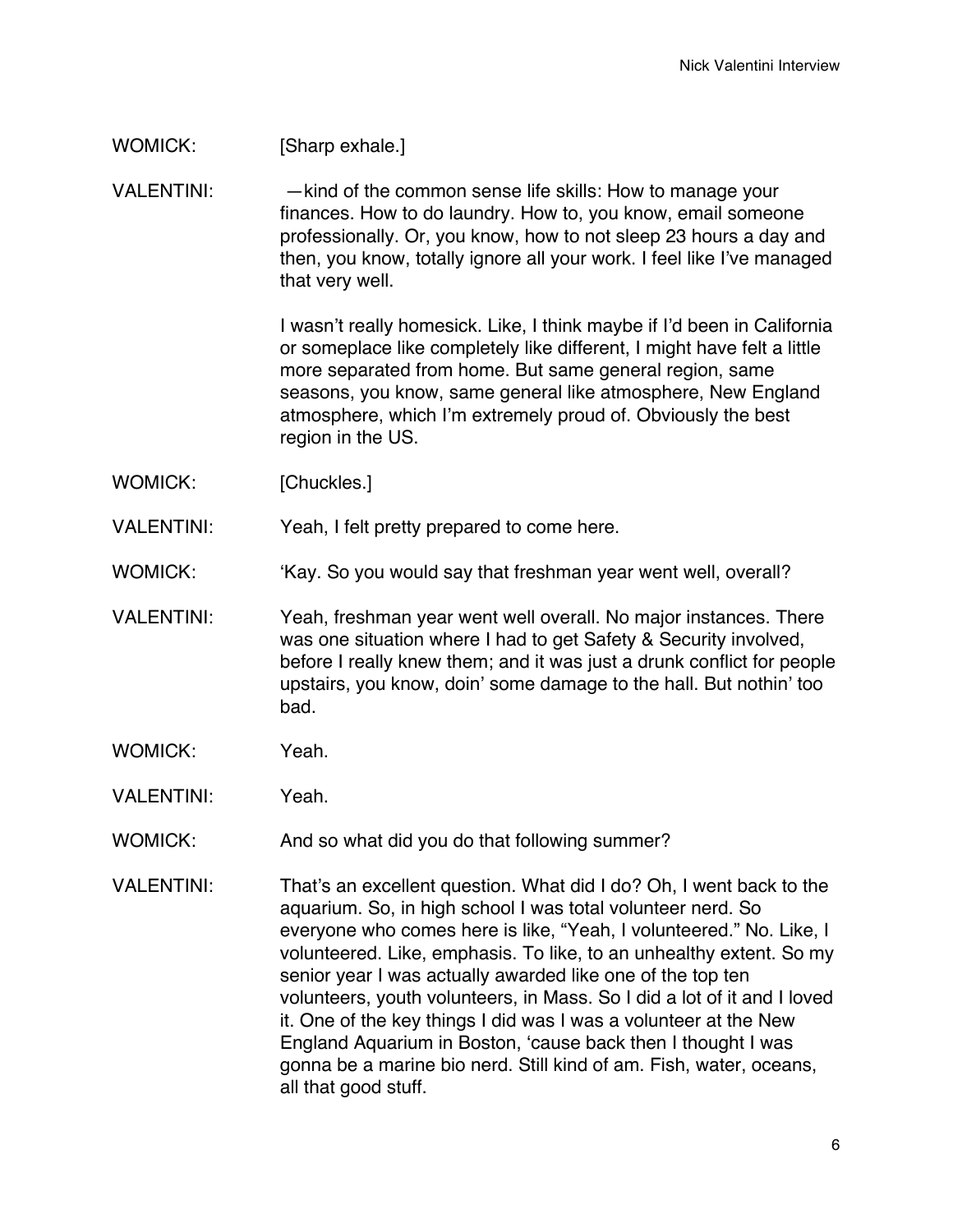## WOMICK: [Sharp exhale.]

VALENTINI: — htind of the common sense life skills: How to manage your finances. How to do laundry. How to, you know, email someone professionally. Or, you know, how to not sleep 23 hours a day and then, you know, totally ignore all your work. I feel like I've managed that very well.

> I wasn't really homesick. Like, I think maybe if I'd been in California or someplace like completely like different, I might have felt a little more separated from home. But same general region, same seasons, you know, same general like atmosphere, New England atmosphere, which I'm extremely proud of. Obviously the best region in the US.

- WOMICK: [Chuckles.]
- VALENTINI: Yeah, I felt pretty prepared to come here.
- WOMICK: 'Kay. So you would say that freshman year went well, overall?
- VALENTINI: Yeah, freshman year went well overall. No major instances. There was one situation where I had to get Safety & Security involved, before I really knew them; and it was just a drunk conflict for people upstairs, you know, doin' some damage to the hall. But nothin' too bad.
- WOMICK: Yeah.
- VALENTINI: Yeah.
- WOMICK: And so what did you do that following summer?
- VALENTINI: That's an excellent question. What did I do? Oh, I went back to the aquarium. So, in high school I was total volunteer nerd. So everyone who comes here is like, "Yeah, I volunteered." No. Like, I volunteered. Like, emphasis. To like, to an unhealthy extent. So my senior year I was actually awarded like one of the top ten volunteers, youth volunteers, in Mass. So I did a lot of it and I loved it. One of the key things I did was I was a volunteer at the New England Aquarium in Boston, 'cause back then I thought I was gonna be a marine bio nerd. Still kind of am. Fish, water, oceans, all that good stuff.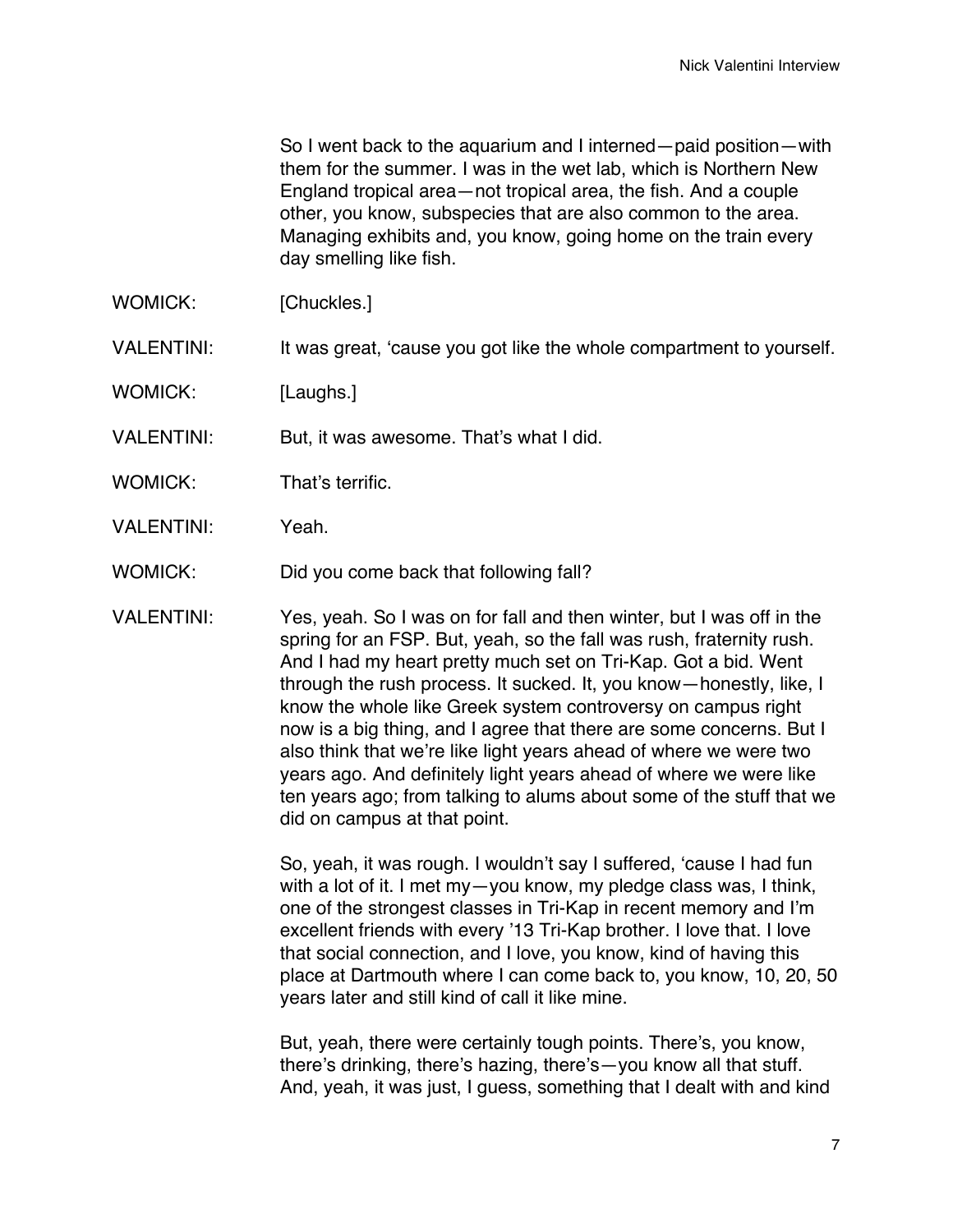So I went back to the aquarium and I interned—paid position—with them for the summer. I was in the wet lab, which is Northern New England tropical area—not tropical area, the fish. And a couple other, you know, subspecies that are also common to the area. Managing exhibits and, you know, going home on the train every day smelling like fish.

- WOMICK: [Chuckles.]
- VALENTINI: It was great, 'cause you got like the whole compartment to yourself.
- WOMICK: [Laughs.]
- VALENTINI: But, it was awesome. That's what I did.
- WOMICK: That's terrific.
- VALENTINI: Yeah.
- WOMICK: Did you come back that following fall?
- VALENTINI: Yes, yeah. So I was on for fall and then winter, but I was off in the spring for an FSP. But, yeah, so the fall was rush, fraternity rush. And I had my heart pretty much set on Tri-Kap. Got a bid. Went through the rush process. It sucked. It, you know—honestly, like, I know the whole like Greek system controversy on campus right now is a big thing, and I agree that there are some concerns. But I also think that we're like light years ahead of where we were two years ago. And definitely light years ahead of where we were like ten years ago; from talking to alums about some of the stuff that we did on campus at that point.

So, yeah, it was rough. I wouldn't say I suffered, 'cause I had fun with a lot of it. I met my—you know, my pledge class was, I think, one of the strongest classes in Tri-Kap in recent memory and I'm excellent friends with every '13 Tri-Kap brother. I love that. I love that social connection, and I love, you know, kind of having this place at Dartmouth where I can come back to, you know, 10, 20, 50 years later and still kind of call it like mine.

But, yeah, there were certainly tough points. There's, you know, there's drinking, there's hazing, there's—you know all that stuff. And, yeah, it was just, I guess, something that I dealt with and kind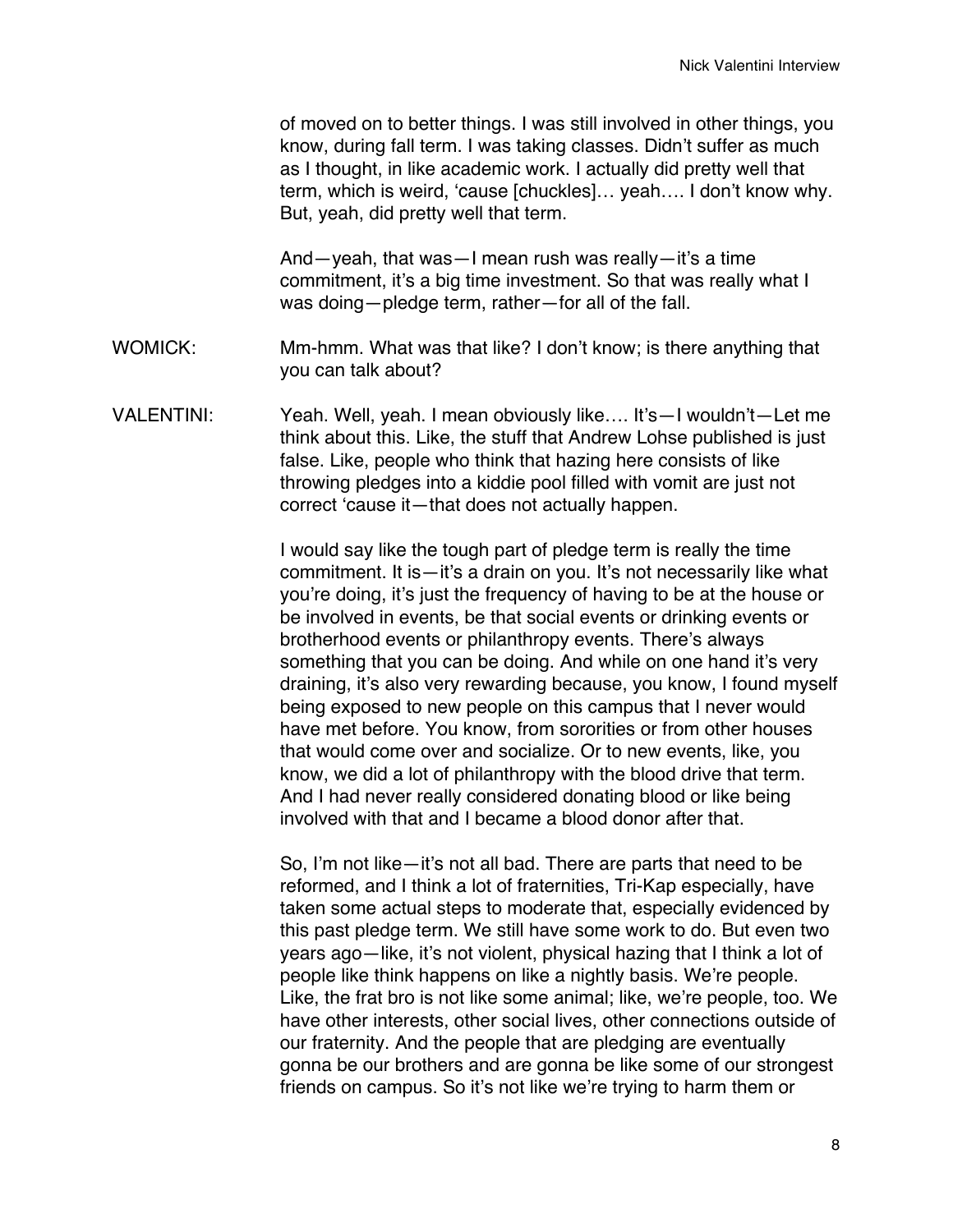of moved on to better things. I was still involved in other things, you know, during fall term. I was taking classes. Didn't suffer as much as I thought, in like academic work. I actually did pretty well that term, which is weird, 'cause [chuckles]… yeah…. I don't know why. But, yeah, did pretty well that term.

And—yeah, that was—I mean rush was really—it's a time commitment, it's a big time investment. So that was really what I was doing—pledge term, rather—for all of the fall.

- WOMICK: Mm-hmm. What was that like? I don't know; is there anything that you can talk about?
- VALENTINI: Yeah. Well, yeah. I mean obviously like…. It's—I wouldn't—Let me think about this. Like, the stuff that Andrew Lohse published is just false. Like, people who think that hazing here consists of like throwing pledges into a kiddie pool filled with vomit are just not correct 'cause it—that does not actually happen.

I would say like the tough part of pledge term is really the time commitment. It is—it's a drain on you. It's not necessarily like what you're doing, it's just the frequency of having to be at the house or be involved in events, be that social events or drinking events or brotherhood events or philanthropy events. There's always something that you can be doing. And while on one hand it's very draining, it's also very rewarding because, you know, I found myself being exposed to new people on this campus that I never would have met before. You know, from sororities or from other houses that would come over and socialize. Or to new events, like, you know, we did a lot of philanthropy with the blood drive that term. And I had never really considered donating blood or like being involved with that and I became a blood donor after that.

So, I'm not like—it's not all bad. There are parts that need to be reformed, and I think a lot of fraternities, Tri-Kap especially, have taken some actual steps to moderate that, especially evidenced by this past pledge term. We still have some work to do. But even two years ago—like, it's not violent, physical hazing that I think a lot of people like think happens on like a nightly basis. We're people. Like, the frat bro is not like some animal; like, we're people, too. We have other interests, other social lives, other connections outside of our fraternity. And the people that are pledging are eventually gonna be our brothers and are gonna be like some of our strongest friends on campus. So it's not like we're trying to harm them or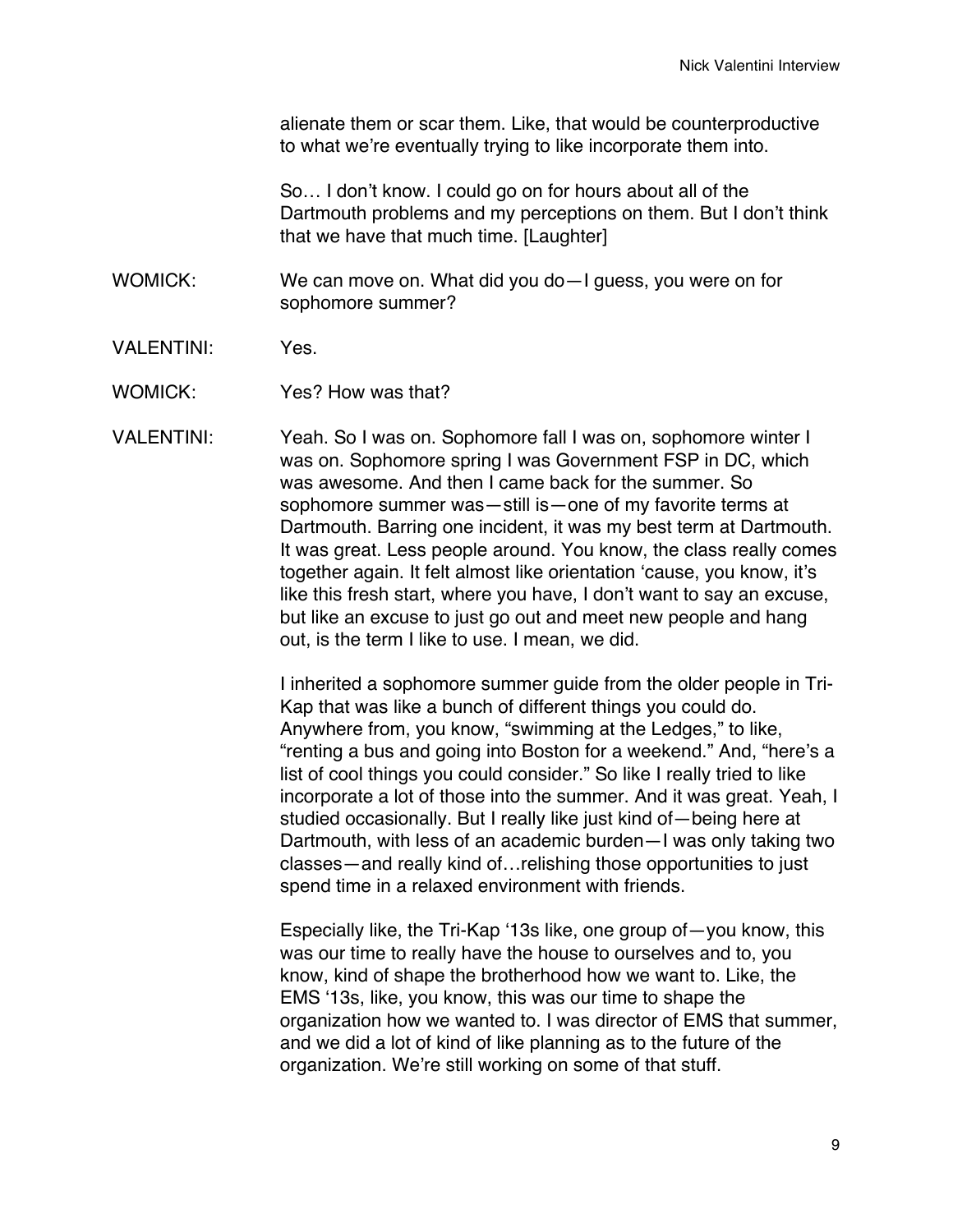alienate them or scar them. Like, that would be counterproductive to what we're eventually trying to like incorporate them into.

So… I don't know. I could go on for hours about all of the Dartmouth problems and my perceptions on them. But I don't think that we have that much time. [Laughter]

WOMICK: We can move on. What did you do—I guess, you were on for sophomore summer?

- VALENTINI: Yes.
- WOMICK: Yes? How was that?

VALENTINI: Yeah. So I was on. Sophomore fall I was on, sophomore winter I was on. Sophomore spring I was Government FSP in DC, which was awesome. And then I came back for the summer. So sophomore summer was—still is—one of my favorite terms at Dartmouth. Barring one incident, it was my best term at Dartmouth. It was great. Less people around. You know, the class really comes together again. It felt almost like orientation 'cause, you know, it's like this fresh start, where you have, I don't want to say an excuse, but like an excuse to just go out and meet new people and hang out, is the term I like to use. I mean, we did.

> I inherited a sophomore summer guide from the older people in Tri-Kap that was like a bunch of different things you could do. Anywhere from, you know, "swimming at the Ledges," to like, "renting a bus and going into Boston for a weekend." And, "here's a list of cool things you could consider." So like I really tried to like incorporate a lot of those into the summer. And it was great. Yeah, I studied occasionally. But I really like just kind of—being here at Dartmouth, with less of an academic burden—I was only taking two classes—and really kind of…relishing those opportunities to just spend time in a relaxed environment with friends.

> Especially like, the Tri-Kap '13s like, one group of—you know, this was our time to really have the house to ourselves and to, you know, kind of shape the brotherhood how we want to. Like, the EMS '13s, like, you know, this was our time to shape the organization how we wanted to. I was director of EMS that summer, and we did a lot of kind of like planning as to the future of the organization. We're still working on some of that stuff.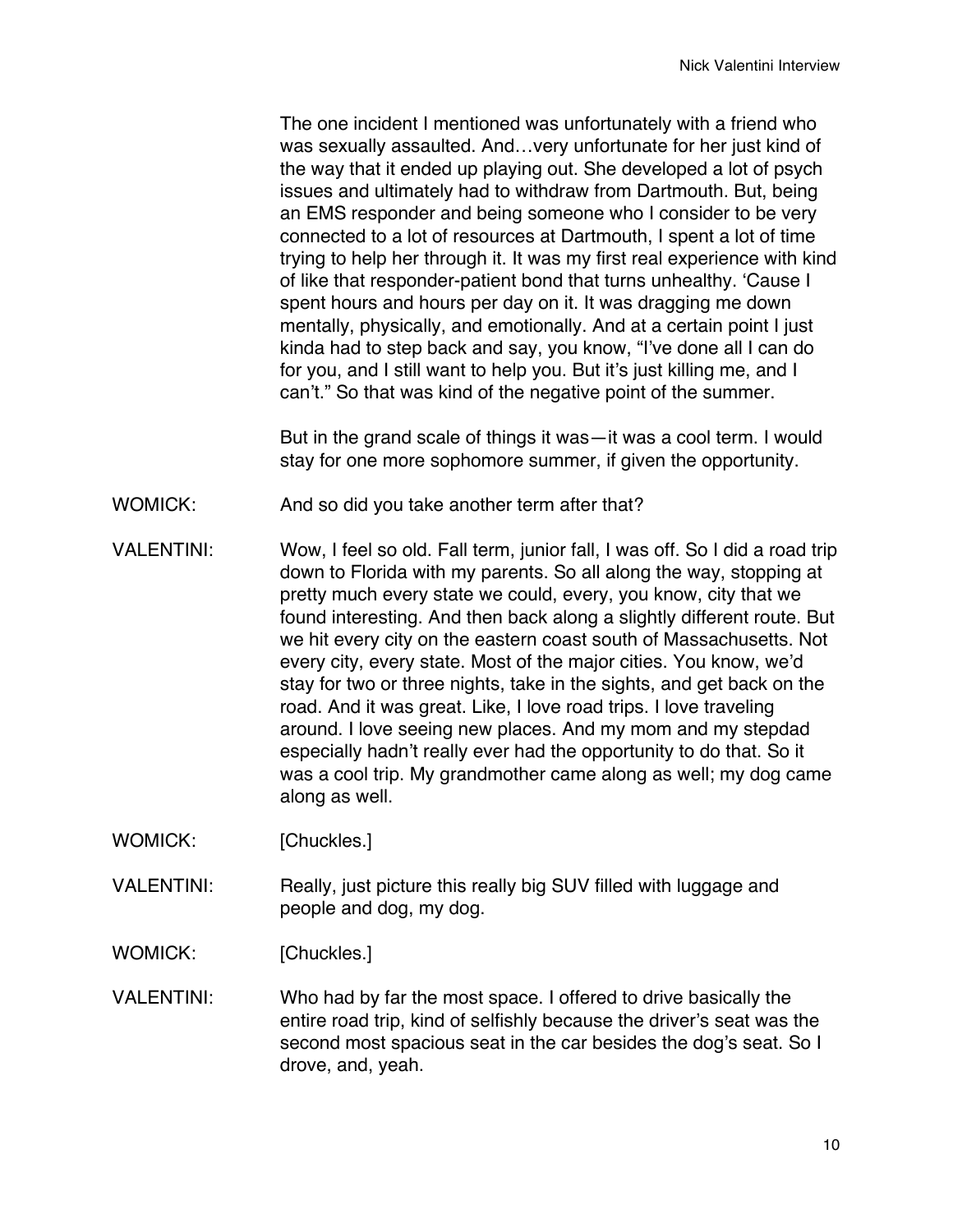The one incident I mentioned was unfortunately with a friend who was sexually assaulted. And…very unfortunate for her just kind of the way that it ended up playing out. She developed a lot of psych issues and ultimately had to withdraw from Dartmouth. But, being an EMS responder and being someone who I consider to be very connected to a lot of resources at Dartmouth, I spent a lot of time trying to help her through it. It was my first real experience with kind of like that responder-patient bond that turns unhealthy. 'Cause I spent hours and hours per day on it. It was dragging me down mentally, physically, and emotionally. And at a certain point I just kinda had to step back and say, you know, "I've done all I can do for you, and I still want to help you. But it's just killing me, and I can't." So that was kind of the negative point of the summer.

But in the grand scale of things it was—it was a cool term. I would stay for one more sophomore summer, if given the opportunity.

- WOMICK: And so did you take another term after that?
- VALENTINI: Wow, I feel so old. Fall term, junior fall, I was off. So I did a road trip down to Florida with my parents. So all along the way, stopping at pretty much every state we could, every, you know, city that we found interesting. And then back along a slightly different route. But we hit every city on the eastern coast south of Massachusetts. Not every city, every state. Most of the major cities. You know, we'd stay for two or three nights, take in the sights, and get back on the road. And it was great. Like, I love road trips. I love traveling around. I love seeing new places. And my mom and my stepdad especially hadn't really ever had the opportunity to do that. So it was a cool trip. My grandmother came along as well; my dog came along as well.
- WOMICK: [Chuckles.]
- VALENTINI: Really, just picture this really big SUV filled with luggage and people and dog, my dog.
- WOMICK: [Chuckles.]
- VALENTINI: Who had by far the most space. I offered to drive basically the entire road trip, kind of selfishly because the driver's seat was the second most spacious seat in the car besides the dog's seat. So I drove, and, yeah.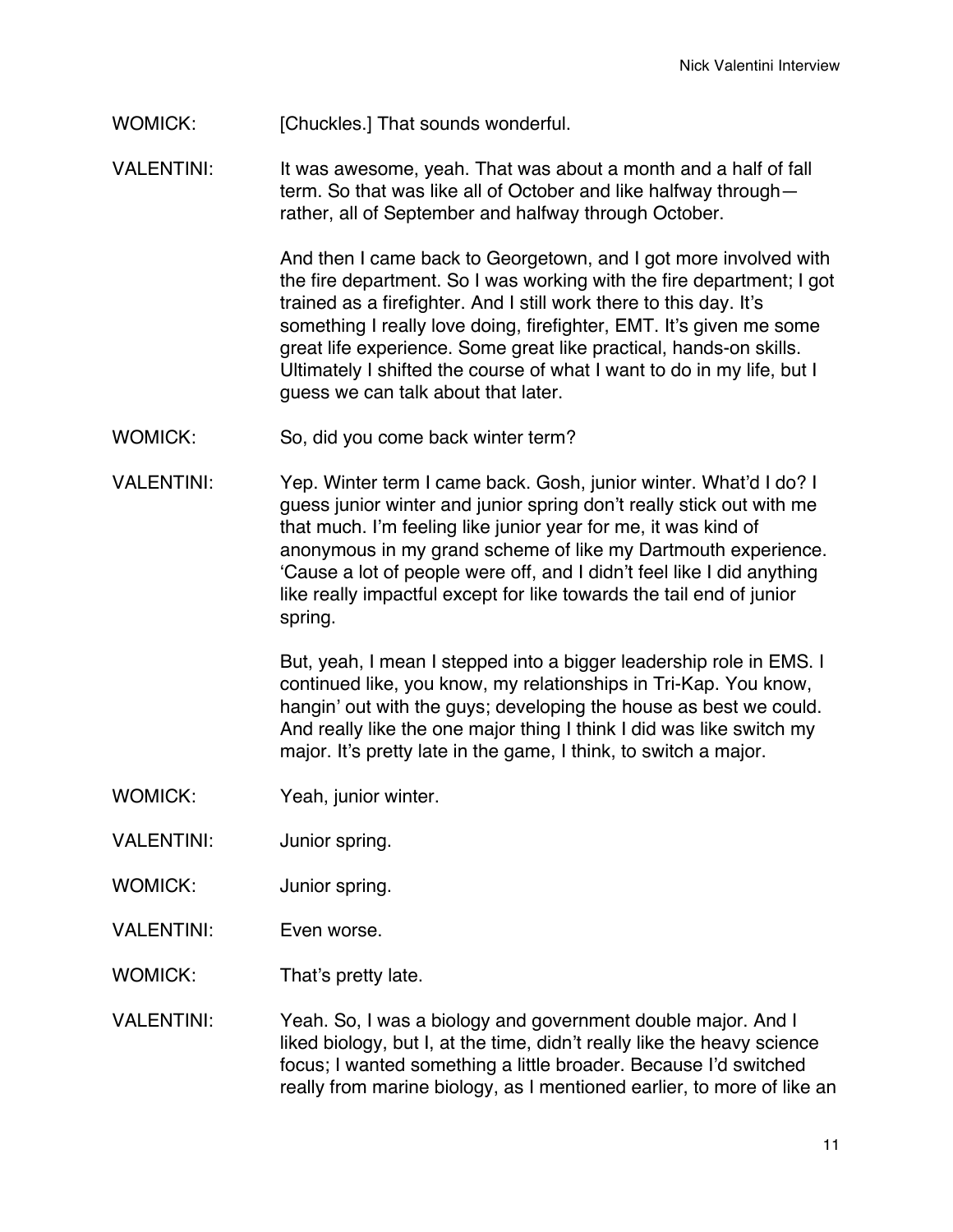## WOMICK: [Chuckles.] That sounds wonderful.

VALENTINI: It was awesome, yeah. That was about a month and a half of fall term. So that was like all of October and like halfway through rather, all of September and halfway through October.

> And then I came back to Georgetown, and I got more involved with the fire department. So I was working with the fire department; I got trained as a firefighter. And I still work there to this day. It's something I really love doing, firefighter, EMT. It's given me some great life experience. Some great like practical, hands-on skills. Ultimately I shifted the course of what I want to do in my life, but I guess we can talk about that later.

- WOMICK: So, did you come back winter term?
- VALENTINI: Yep. Winter term I came back. Gosh, junior winter. What'd I do? I guess junior winter and junior spring don't really stick out with me that much. I'm feeling like junior year for me, it was kind of anonymous in my grand scheme of like my Dartmouth experience. 'Cause a lot of people were off, and I didn't feel like I did anything like really impactful except for like towards the tail end of junior spring.

But, yeah, I mean I stepped into a bigger leadership role in EMS. I continued like, you know, my relationships in Tri-Kap. You know, hangin' out with the guys; developing the house as best we could. And really like the one major thing I think I did was like switch my major. It's pretty late in the game, I think, to switch a major.

- WOMICK: Yeah, junior winter.
- VALENTINI: Junior spring.
- WOMICK: Junior spring.
- VALENTINI: Even worse.
- WOMICK: That's pretty late.
- VALENTINI: Yeah. So, I was a biology and government double major. And I liked biology, but I, at the time, didn't really like the heavy science focus; I wanted something a little broader. Because I'd switched really from marine biology, as I mentioned earlier, to more of like an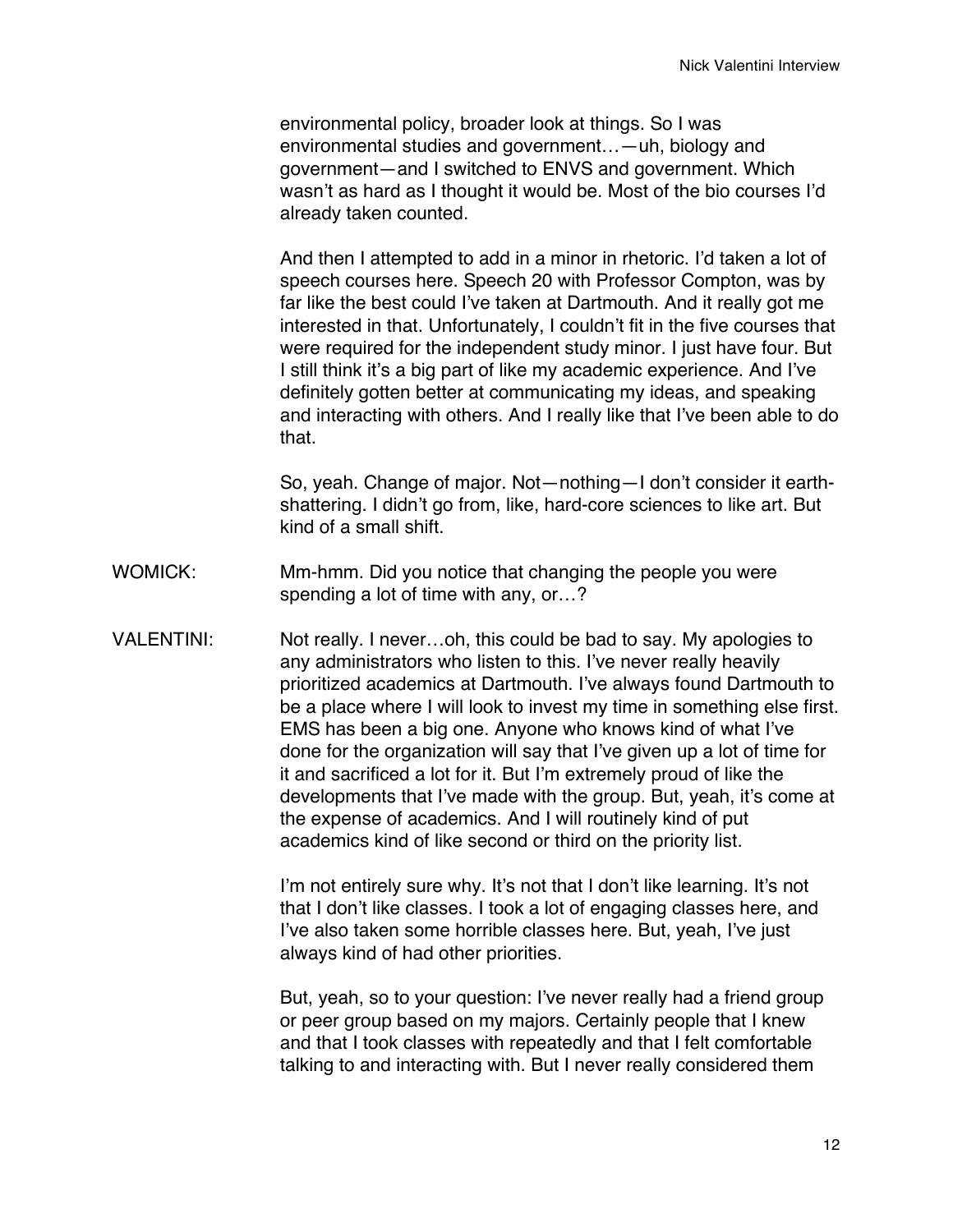environmental policy, broader look at things. So I was environmental studies and government…—uh, biology and government—and I switched to ENVS and government. Which wasn't as hard as I thought it would be. Most of the bio courses I'd already taken counted.

And then I attempted to add in a minor in rhetoric. I'd taken a lot of speech courses here. Speech 20 with Professor Compton, was by far like the best could I've taken at Dartmouth. And it really got me interested in that. Unfortunately, I couldn't fit in the five courses that were required for the independent study minor. I just have four. But I still think it's a big part of like my academic experience. And I've definitely gotten better at communicating my ideas, and speaking and interacting with others. And I really like that I've been able to do that.

So, yeah. Change of major. Not—nothing—I don't consider it earthshattering. I didn't go from, like, hard-core sciences to like art. But kind of a small shift.

- WOMICK: Mm-hmm. Did you notice that changing the people you were spending a lot of time with any, or…?
- VALENTINI: Not really. I never…oh, this could be bad to say. My apologies to any administrators who listen to this. I've never really heavily prioritized academics at Dartmouth. I've always found Dartmouth to be a place where I will look to invest my time in something else first. EMS has been a big one. Anyone who knows kind of what I've done for the organization will say that I've given up a lot of time for it and sacrificed a lot for it. But I'm extremely proud of like the developments that I've made with the group. But, yeah, it's come at the expense of academics. And I will routinely kind of put academics kind of like second or third on the priority list.

I'm not entirely sure why. It's not that I don't like learning. It's not that I don't like classes. I took a lot of engaging classes here, and I've also taken some horrible classes here. But, yeah, I've just always kind of had other priorities.

But, yeah, so to your question: I've never really had a friend group or peer group based on my majors. Certainly people that I knew and that I took classes with repeatedly and that I felt comfortable talking to and interacting with. But I never really considered them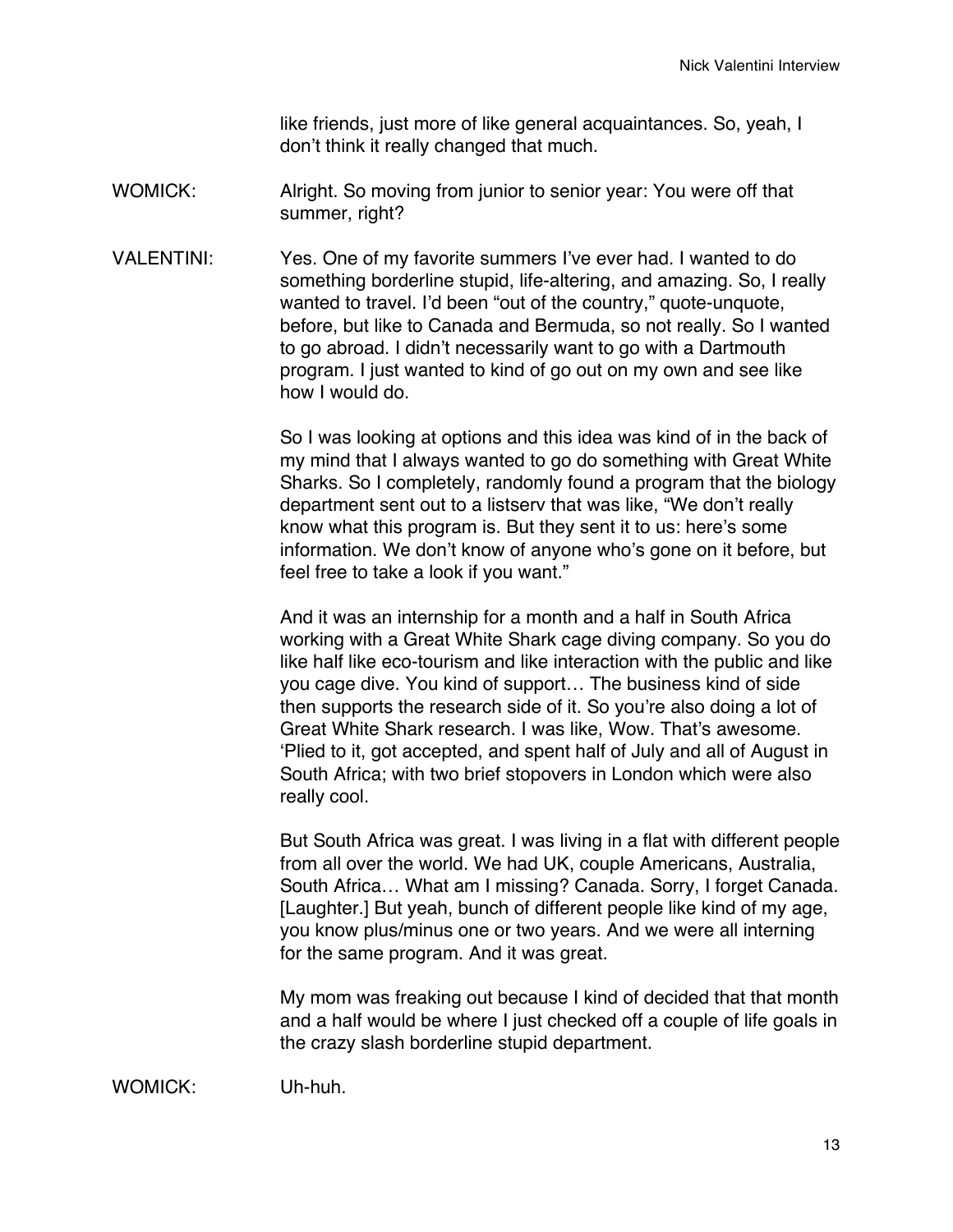like friends, just more of like general acquaintances. So, yeah, I don't think it really changed that much.

- WOMICK: Alright. So moving from junior to senior year: You were off that summer, right?
- VALENTINI: Yes. One of my favorite summers I've ever had. I wanted to do something borderline stupid, life-altering, and amazing. So, I really wanted to travel. I'd been "out of the country," quote-unquote, before, but like to Canada and Bermuda, so not really. So I wanted to go abroad. I didn't necessarily want to go with a Dartmouth program. I just wanted to kind of go out on my own and see like how I would do.

So I was looking at options and this idea was kind of in the back of my mind that I always wanted to go do something with Great White Sharks. So I completely, randomly found a program that the biology department sent out to a listserv that was like, "We don't really know what this program is. But they sent it to us: here's some information. We don't know of anyone who's gone on it before, but feel free to take a look if you want."

And it was an internship for a month and a half in South Africa working with a Great White Shark cage diving company. So you do like half like eco-tourism and like interaction with the public and like you cage dive. You kind of support… The business kind of side then supports the research side of it. So you're also doing a lot of Great White Shark research. I was like, Wow. That's awesome. 'Plied to it, got accepted, and spent half of July and all of August in South Africa; with two brief stopovers in London which were also really cool.

But South Africa was great. I was living in a flat with different people from all over the world. We had UK, couple Americans, Australia, South Africa… What am I missing? Canada. Sorry, I forget Canada. [Laughter.] But yeah, bunch of different people like kind of my age, you know plus/minus one or two years. And we were all interning for the same program. And it was great.

My mom was freaking out because I kind of decided that that month and a half would be where I just checked off a couple of life goals in the crazy slash borderline stupid department.

WOMICK: Uh-huh.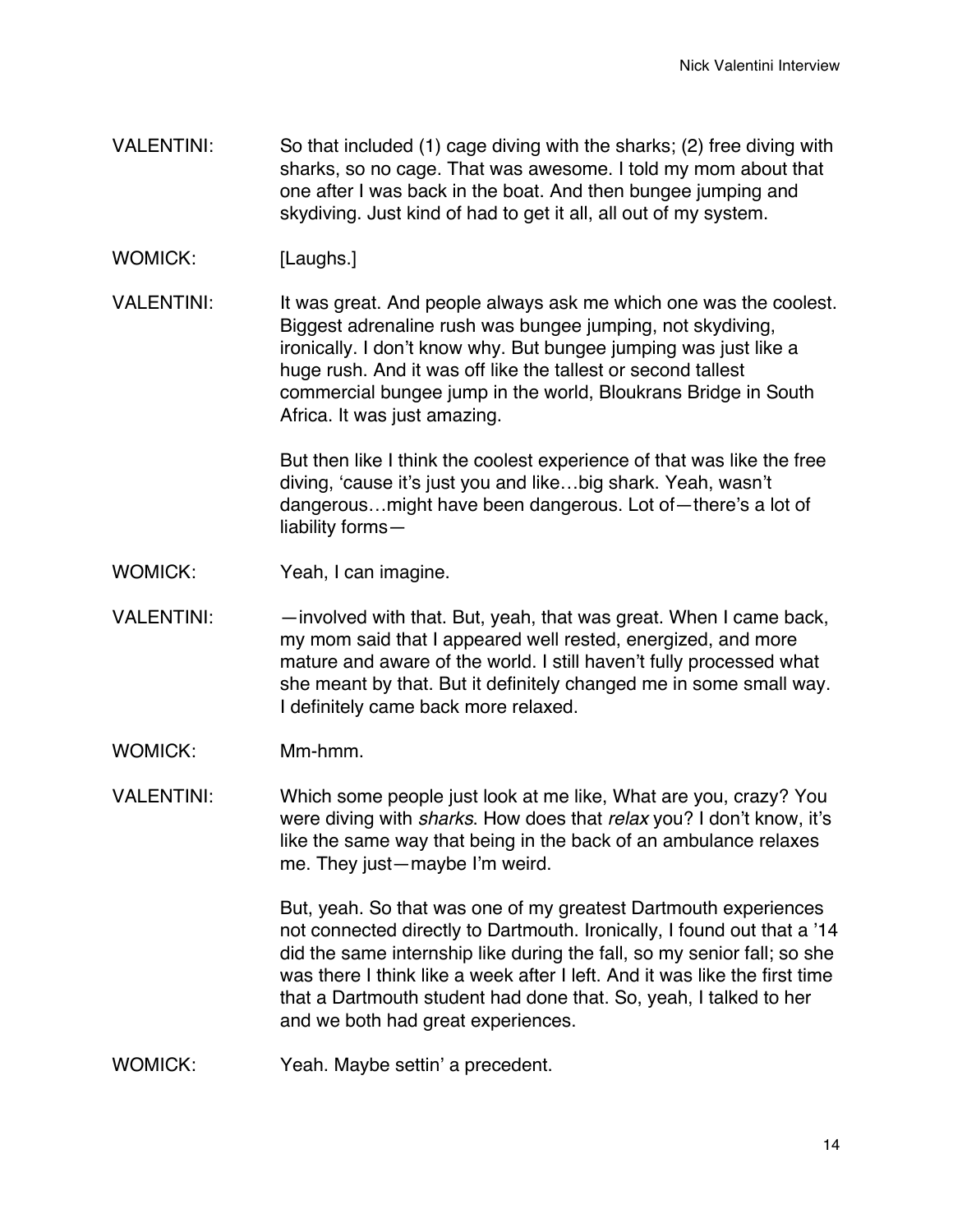- VALENTINI: So that included (1) cage diving with the sharks; (2) free diving with sharks, so no cage. That was awesome. I told my mom about that one after I was back in the boat. And then bungee jumping and skydiving. Just kind of had to get it all, all out of my system.
- WOMICK: [Laughs.]
- VALENTINI: It was great. And people always ask me which one was the coolest. Biggest adrenaline rush was bungee jumping, not skydiving, ironically. I don't know why. But bungee jumping was just like a huge rush. And it was off like the tallest or second tallest commercial bungee jump in the world, Bloukrans Bridge in South Africa. It was just amazing.

But then like I think the coolest experience of that was like the free diving, 'cause it's just you and like…big shark. Yeah, wasn't dangerous…might have been dangerous. Lot of—there's a lot of liability forms—

- WOMICK: Yeah, I can imagine.
- VALENTINI: —involved with that. But, yeah, that was great. When I came back, my mom said that I appeared well rested, energized, and more mature and aware of the world. I still haven't fully processed what she meant by that. But it definitely changed me in some small way. I definitely came back more relaxed.
- WOMICK: Mm-hmm.
- VALENTINI: Which some people just look at me like, What are you, crazy? You were diving with *sharks*. How does that *relax* you? I don't know, it's like the same way that being in the back of an ambulance relaxes me. They just—maybe I'm weird.

But, yeah. So that was one of my greatest Dartmouth experiences not connected directly to Dartmouth. Ironically, I found out that a '14 did the same internship like during the fall, so my senior fall; so she was there I think like a week after I left. And it was like the first time that a Dartmouth student had done that. So, yeah, I talked to her and we both had great experiences.

WOMICK: Yeah. Maybe settin' a precedent.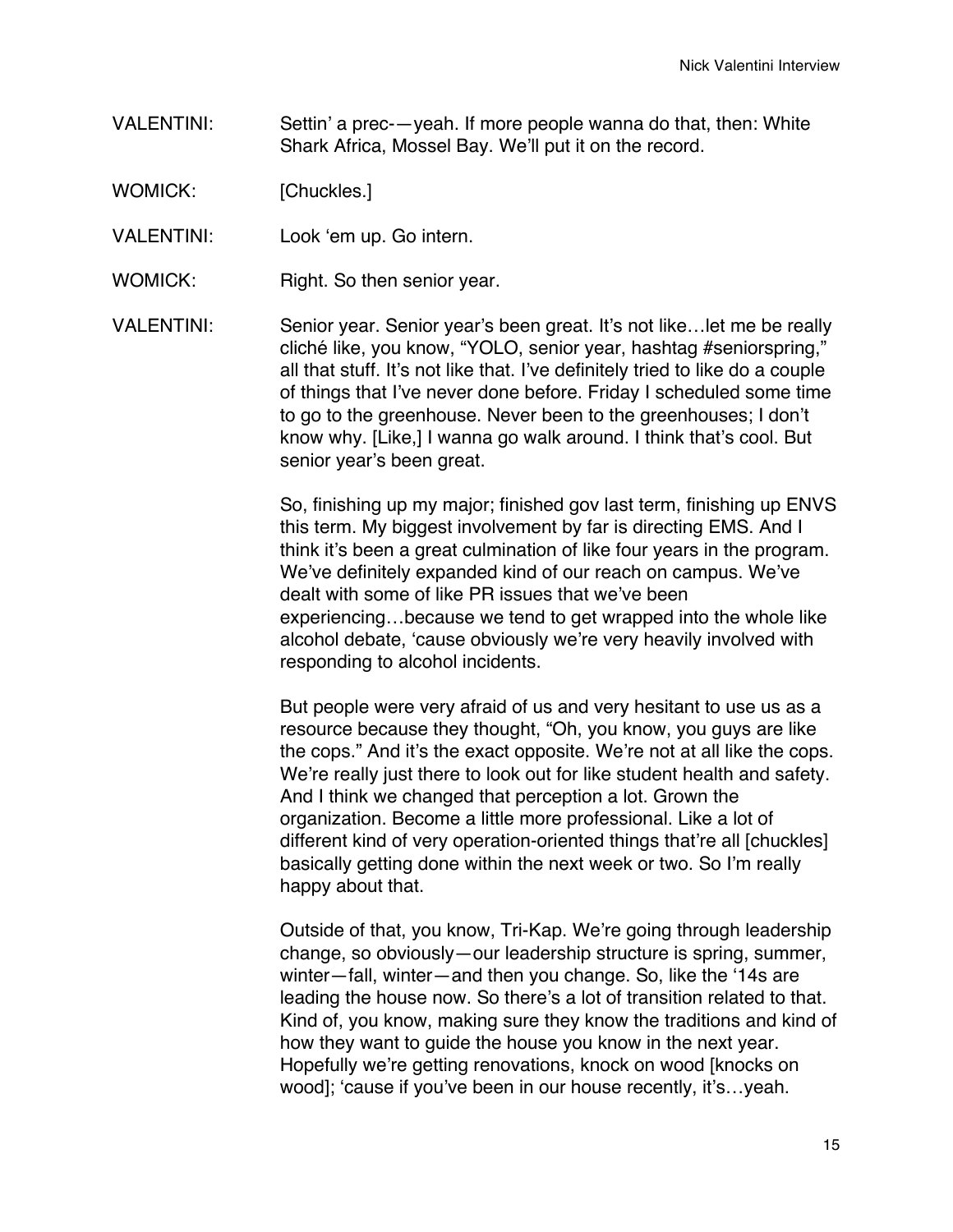VALENTINI: Settin' a prec-—yeah. If more people wanna do that, then: White Shark Africa, Mossel Bay. We'll put it on the record.

WOMICK: [Chuckles.]

- VALENTINI: Look 'em up. Go intern.
- WOMICK: Right. So then senior year.
- VALENTINI: Senior year. Senior year's been great. It's not like…let me be really cliché like, you know, "YOLO, senior year, hashtag #seniorspring," all that stuff. It's not like that. I've definitely tried to like do a couple of things that I've never done before. Friday I scheduled some time to go to the greenhouse. Never been to the greenhouses; I don't know why. [Like,] I wanna go walk around. I think that's cool. But senior year's been great.

So, finishing up my major; finished gov last term, finishing up ENVS this term. My biggest involvement by far is directing EMS. And I think it's been a great culmination of like four years in the program. We've definitely expanded kind of our reach on campus. We've dealt with some of like PR issues that we've been experiencing…because we tend to get wrapped into the whole like alcohol debate, 'cause obviously we're very heavily involved with responding to alcohol incidents.

But people were very afraid of us and very hesitant to use us as a resource because they thought, "Oh, you know, you guys are like the cops." And it's the exact opposite. We're not at all like the cops. We're really just there to look out for like student health and safety. And I think we changed that perception a lot. Grown the organization. Become a little more professional. Like a lot of different kind of very operation-oriented things that're all [chuckles] basically getting done within the next week or two. So I'm really happy about that.

Outside of that, you know, Tri-Kap. We're going through leadership change, so obviously—our leadership structure is spring, summer, winter—fall, winter—and then you change. So, like the '14s are leading the house now. So there's a lot of transition related to that. Kind of, you know, making sure they know the traditions and kind of how they want to guide the house you know in the next year. Hopefully we're getting renovations, knock on wood [knocks on wood]; 'cause if you've been in our house recently, it's…yeah.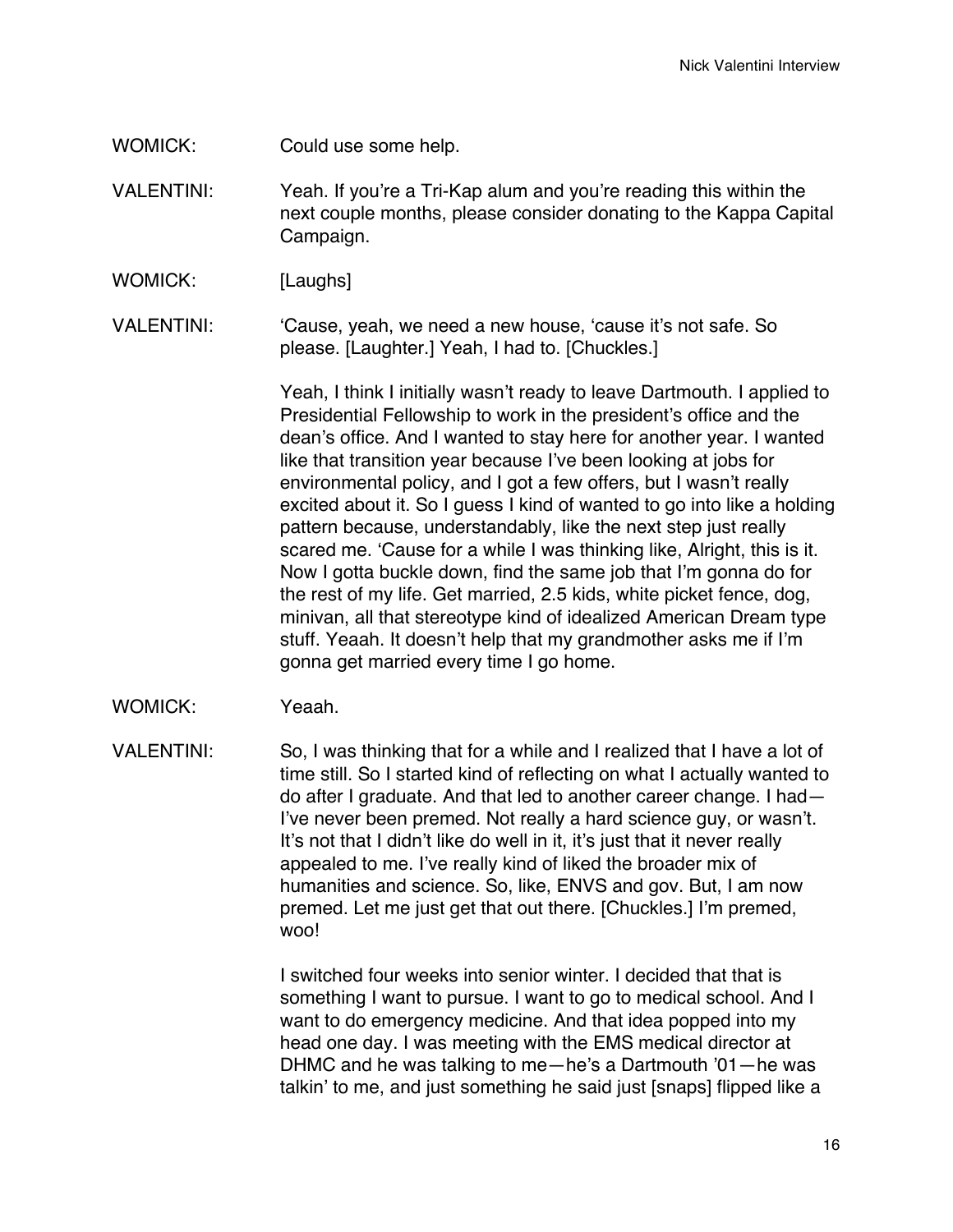- WOMICK: Could use some help.
- VALENTINI: Yeah. If you're a Tri-Kap alum and you're reading this within the next couple months, please consider donating to the Kappa Capital Campaign.
- WOMICK: [Laughs]
- VALENTINI: 'Cause, yeah, we need a new house, 'cause it's not safe. So please. [Laughter.] Yeah, I had to. [Chuckles.]

Yeah, I think I initially wasn't ready to leave Dartmouth. I applied to Presidential Fellowship to work in the president's office and the dean's office. And I wanted to stay here for another year. I wanted like that transition year because I've been looking at jobs for environmental policy, and I got a few offers, but I wasn't really excited about it. So I guess I kind of wanted to go into like a holding pattern because, understandably, like the next step just really scared me. 'Cause for a while I was thinking like, Alright, this is it. Now I gotta buckle down, find the same job that I'm gonna do for the rest of my life. Get married, 2.5 kids, white picket fence, dog, minivan, all that stereotype kind of idealized American Dream type stuff. Yeaah. It doesn't help that my grandmother asks me if I'm gonna get married every time I go home.

WOMICK: Yeaah.

VALENTINI: So, I was thinking that for a while and I realized that I have a lot of time still. So I started kind of reflecting on what I actually wanted to do after I graduate. And that led to another career change. I had— I've never been premed. Not really a hard science guy, or wasn't. It's not that I didn't like do well in it, it's just that it never really appealed to me. I've really kind of liked the broader mix of humanities and science. So, like, ENVS and gov. But, I am now premed. Let me just get that out there. [Chuckles.] I'm premed, woo!

> I switched four weeks into senior winter. I decided that that is something I want to pursue. I want to go to medical school. And I want to do emergency medicine. And that idea popped into my head one day. I was meeting with the EMS medical director at DHMC and he was talking to me—he's a Dartmouth '01—he was talkin' to me, and just something he said just [snaps] flipped like a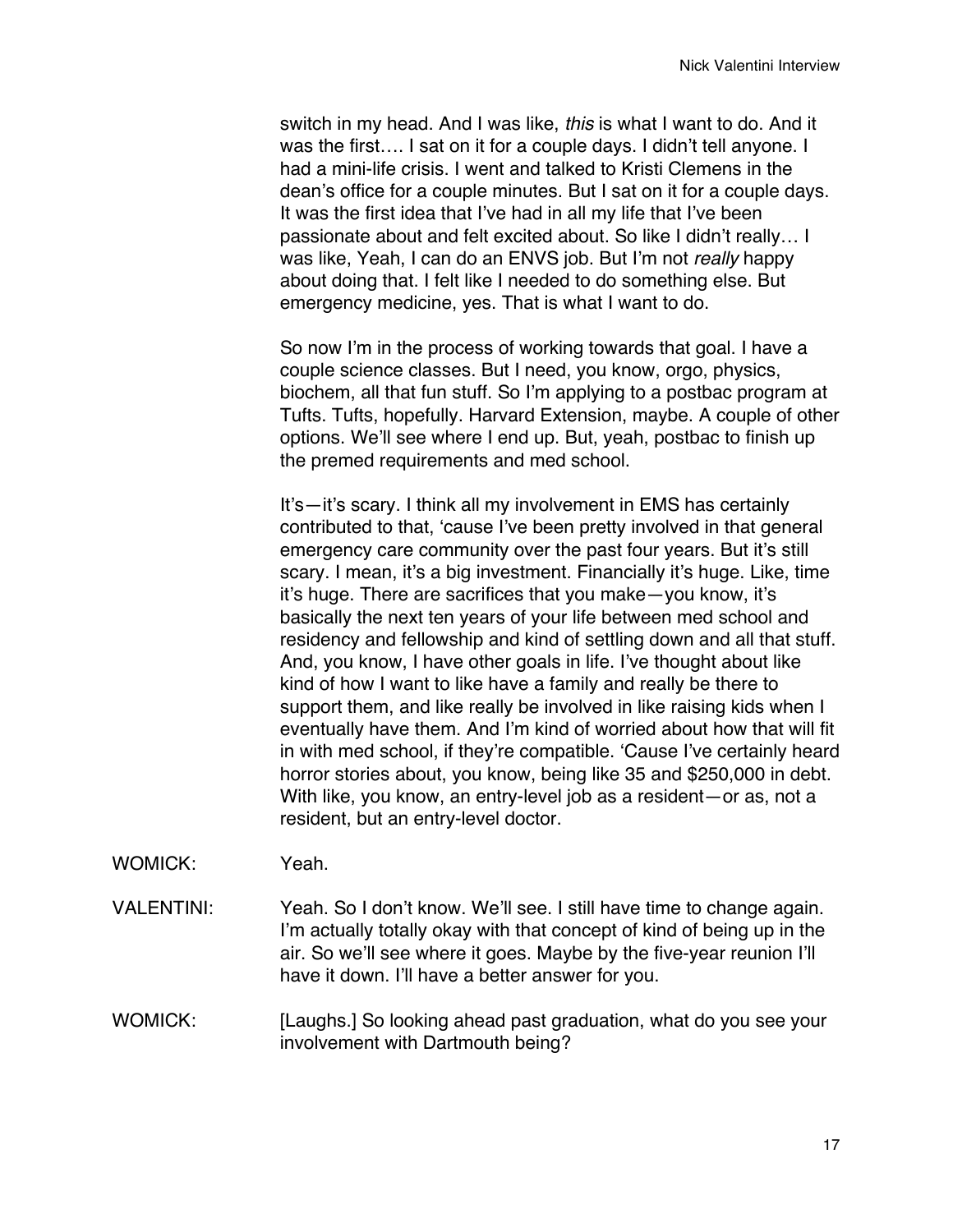switch in my head. And I was like, *this* is what I want to do. And it was the first…. I sat on it for a couple days. I didn't tell anyone. I had a mini-life crisis. I went and talked to Kristi Clemens in the dean's office for a couple minutes. But I sat on it for a couple days. It was the first idea that I've had in all my life that I've been passionate about and felt excited about. So like I didn't really… I was like, Yeah, I can do an ENVS job. But I'm not *really* happy about doing that. I felt like I needed to do something else. But emergency medicine, yes. That is what I want to do.

So now I'm in the process of working towards that goal. I have a couple science classes. But I need, you know, orgo, physics, biochem, all that fun stuff. So I'm applying to a postbac program at Tufts. Tufts, hopefully. Harvard Extension, maybe. A couple of other options. We'll see where I end up. But, yeah, postbac to finish up the premed requirements and med school.

It's—it's scary. I think all my involvement in EMS has certainly contributed to that, 'cause I've been pretty involved in that general emergency care community over the past four years. But it's still scary. I mean, it's a big investment. Financially it's huge. Like, time it's huge. There are sacrifices that you make—you know, it's basically the next ten years of your life between med school and residency and fellowship and kind of settling down and all that stuff. And, you know, I have other goals in life. I've thought about like kind of how I want to like have a family and really be there to support them, and like really be involved in like raising kids when I eventually have them. And I'm kind of worried about how that will fit in with med school, if they're compatible. 'Cause I've certainly heard horror stories about, you know, being like 35 and \$250,000 in debt. With like, you know, an entry-level job as a resident—or as, not a resident, but an entry-level doctor.

- WOMICK: Yeah.
- VALENTINI: Yeah. So I don't know. We'll see. I still have time to change again. I'm actually totally okay with that concept of kind of being up in the air. So we'll see where it goes. Maybe by the five-year reunion I'll have it down. I'll have a better answer for you.

WOMICK: [Laughs.] So looking ahead past graduation, what do you see your involvement with Dartmouth being?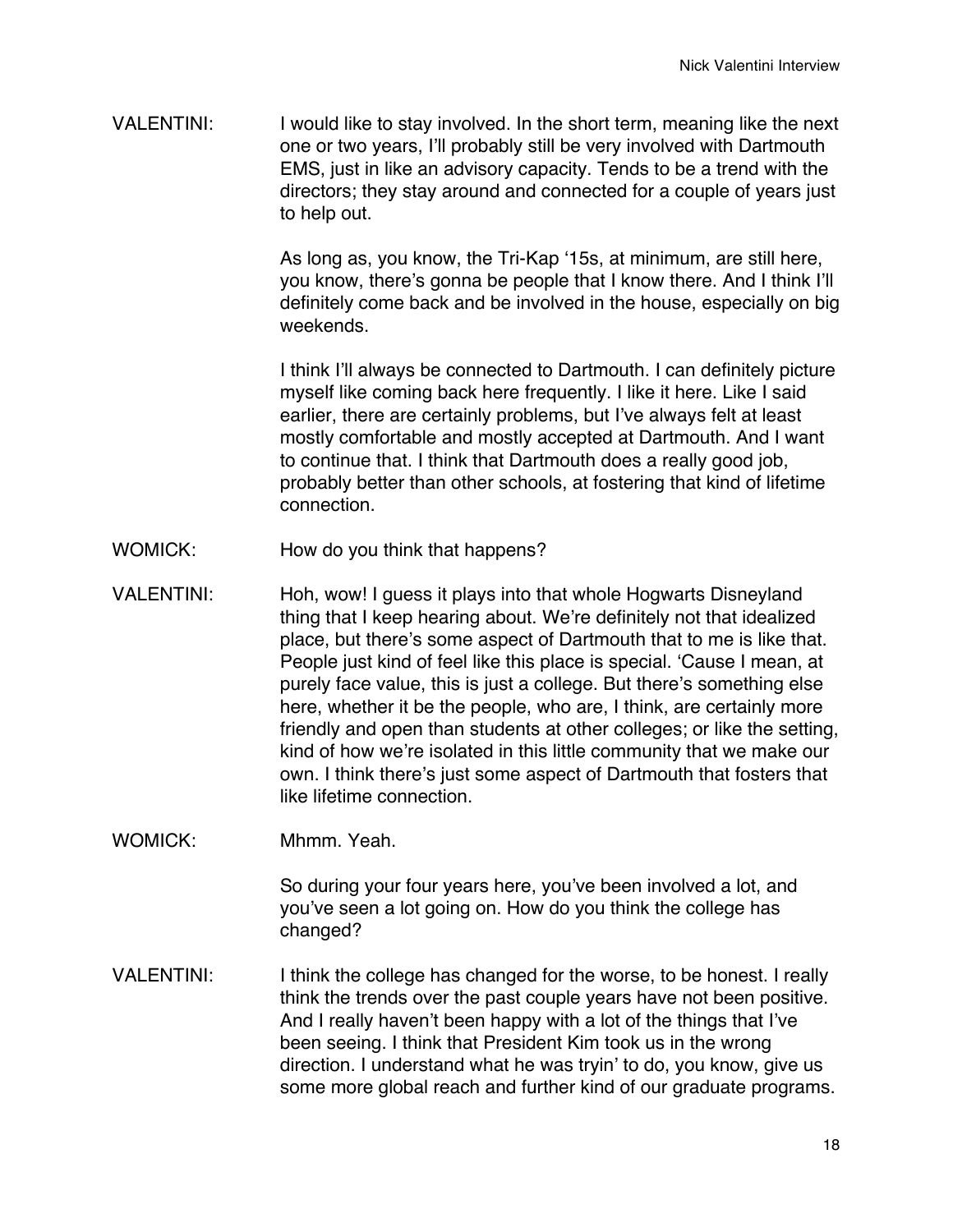VALENTINI: I would like to stay involved. In the short term, meaning like the next one or two years, I'll probably still be very involved with Dartmouth EMS, just in like an advisory capacity. Tends to be a trend with the directors; they stay around and connected for a couple of years just to help out.

> As long as, you know, the Tri-Kap '15s, at minimum, are still here, you know, there's gonna be people that I know there. And I think I'll definitely come back and be involved in the house, especially on big weekends.

> I think I'll always be connected to Dartmouth. I can definitely picture myself like coming back here frequently. I like it here. Like I said earlier, there are certainly problems, but I've always felt at least mostly comfortable and mostly accepted at Dartmouth. And I want to continue that. I think that Dartmouth does a really good job, probably better than other schools, at fostering that kind of lifetime connection.

- WOMICK: How do you think that happens?
- VALENTINI: Hoh, wow! I guess it plays into that whole Hogwarts Disneyland thing that I keep hearing about. We're definitely not that idealized place, but there's some aspect of Dartmouth that to me is like that. People just kind of feel like this place is special. 'Cause I mean, at purely face value, this is just a college. But there's something else here, whether it be the people, who are, I think, are certainly more friendly and open than students at other colleges; or like the setting, kind of how we're isolated in this little community that we make our own. I think there's just some aspect of Dartmouth that fosters that like lifetime connection.
- WOMICK: Mhmm. Yeah.

So during your four years here, you've been involved a lot, and you've seen a lot going on. How do you think the college has changed?

VALENTINI: I think the college has changed for the worse, to be honest. I really think the trends over the past couple years have not been positive. And I really haven't been happy with a lot of the things that I've been seeing. I think that President Kim took us in the wrong direction. I understand what he was tryin' to do, you know, give us some more global reach and further kind of our graduate programs.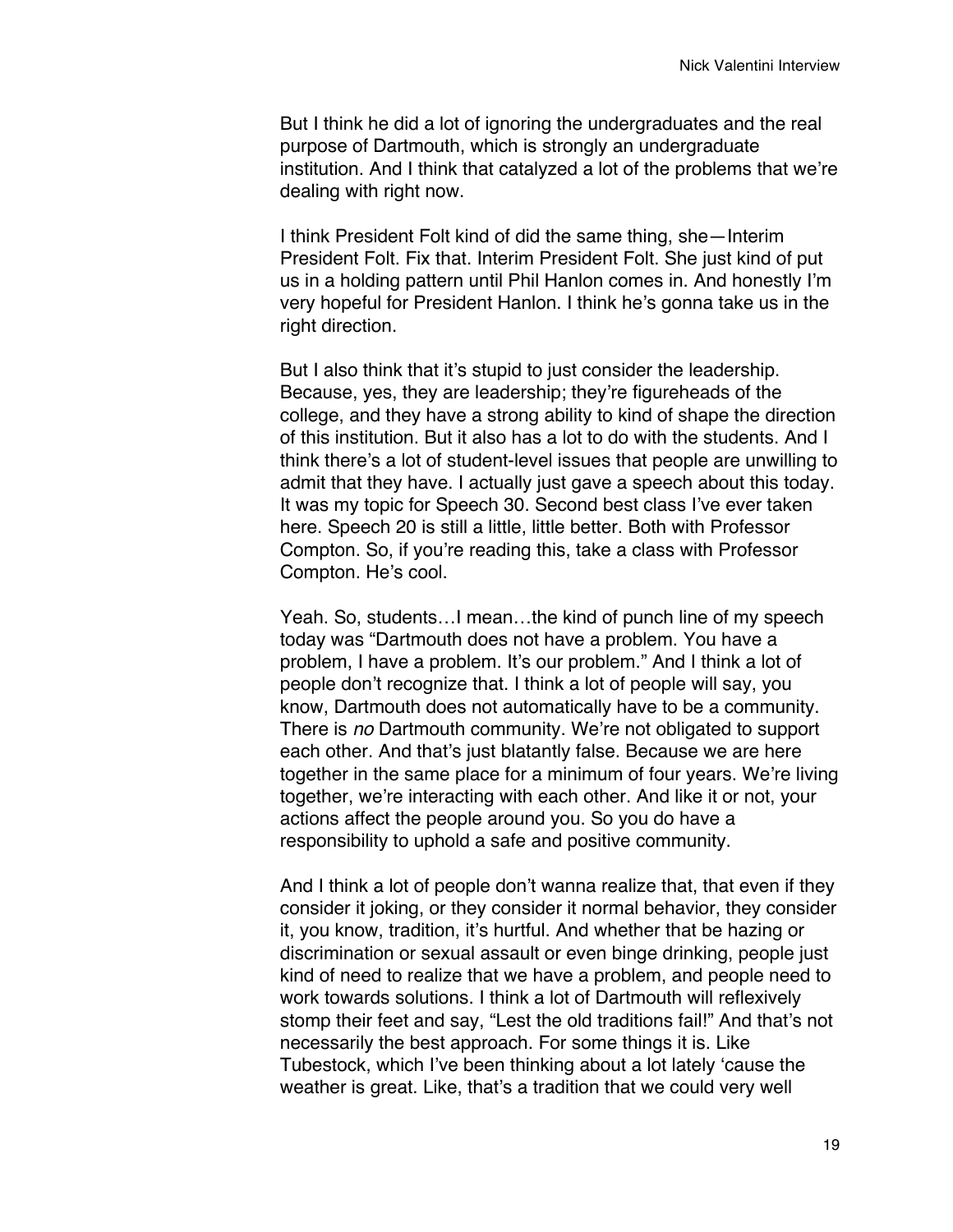But I think he did a lot of ignoring the undergraduates and the real purpose of Dartmouth, which is strongly an undergraduate institution. And I think that catalyzed a lot of the problems that we're dealing with right now.

I think President Folt kind of did the same thing, she—Interim President Folt. Fix that. Interim President Folt. She just kind of put us in a holding pattern until Phil Hanlon comes in. And honestly I'm very hopeful for President Hanlon. I think he's gonna take us in the right direction.

But I also think that it's stupid to just consider the leadership. Because, yes, they are leadership; they're figureheads of the college, and they have a strong ability to kind of shape the direction of this institution. But it also has a lot to do with the students. And I think there's a lot of student-level issues that people are unwilling to admit that they have. I actually just gave a speech about this today. It was my topic for Speech 30. Second best class I've ever taken here. Speech 20 is still a little, little better. Both with Professor Compton. So, if you're reading this, take a class with Professor Compton. He's cool.

Yeah. So, students…I mean…the kind of punch line of my speech today was "Dartmouth does not have a problem. You have a problem, I have a problem. It's our problem." And I think a lot of people don't recognize that. I think a lot of people will say, you know, Dartmouth does not automatically have to be a community. There is *no* Dartmouth community. We're not obligated to support each other. And that's just blatantly false. Because we are here together in the same place for a minimum of four years. We're living together, we're interacting with each other. And like it or not, your actions affect the people around you. So you do have a responsibility to uphold a safe and positive community.

And I think a lot of people don't wanna realize that, that even if they consider it joking, or they consider it normal behavior, they consider it, you know, tradition, it's hurtful. And whether that be hazing or discrimination or sexual assault or even binge drinking, people just kind of need to realize that we have a problem, and people need to work towards solutions. I think a lot of Dartmouth will reflexively stomp their feet and say, "Lest the old traditions fail!" And that's not necessarily the best approach. For some things it is. Like Tubestock, which I've been thinking about a lot lately 'cause the weather is great. Like, that's a tradition that we could very well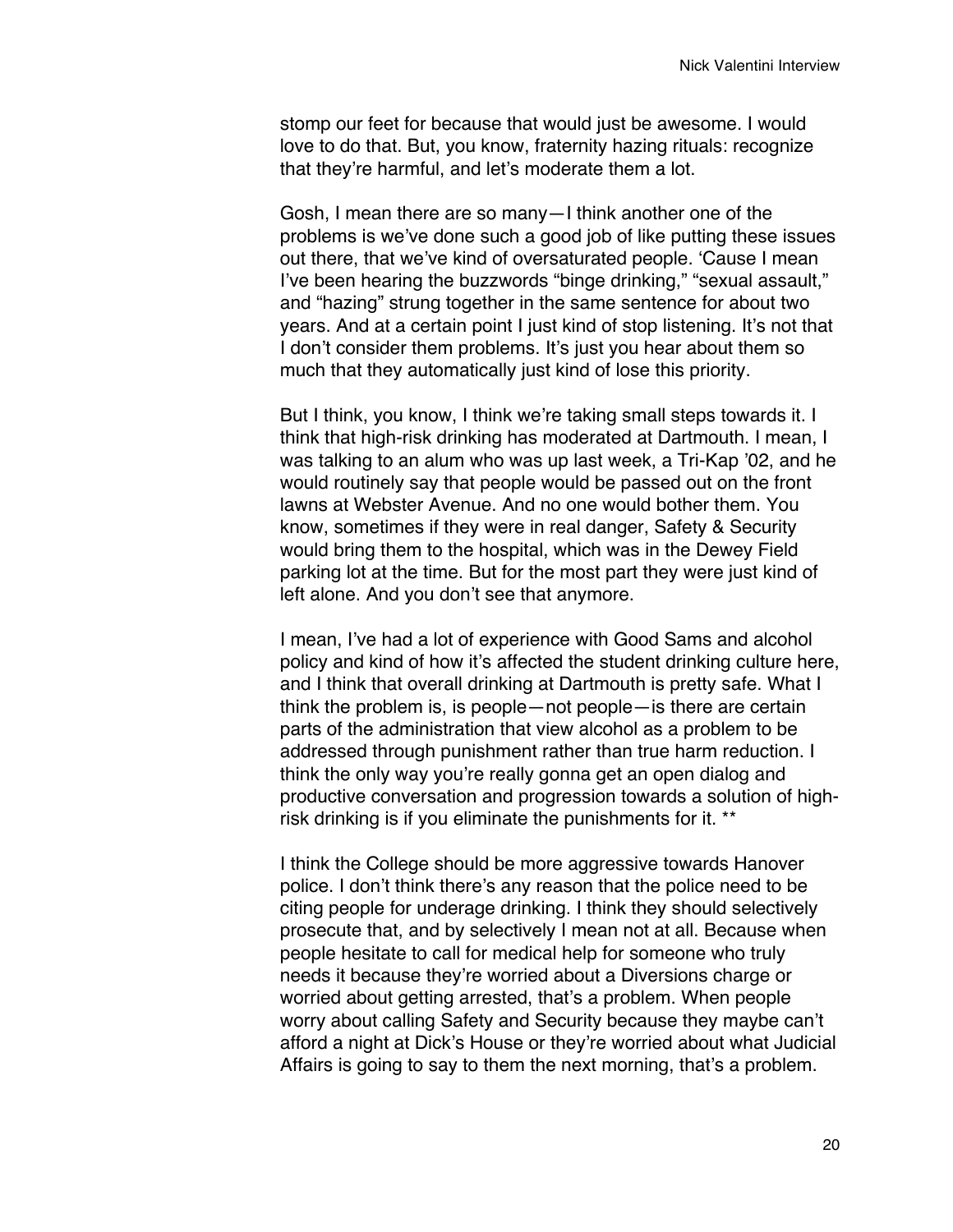stomp our feet for because that would just be awesome. I would love to do that. But, you know, fraternity hazing rituals: recognize that they're harmful, and let's moderate them a lot.

Gosh, I mean there are so many—I think another one of the problems is we've done such a good job of like putting these issues out there, that we've kind of oversaturated people. 'Cause I mean I've been hearing the buzzwords "binge drinking," "sexual assault," and "hazing" strung together in the same sentence for about two years. And at a certain point I just kind of stop listening. It's not that I don't consider them problems. It's just you hear about them so much that they automatically just kind of lose this priority.

But I think, you know, I think we're taking small steps towards it. I think that high-risk drinking has moderated at Dartmouth. I mean, I was talking to an alum who was up last week, a Tri-Kap '02, and he would routinely say that people would be passed out on the front lawns at Webster Avenue. And no one would bother them. You know, sometimes if they were in real danger, Safety & Security would bring them to the hospital, which was in the Dewey Field parking lot at the time. But for the most part they were just kind of left alone. And you don't see that anymore.

I mean, I've had a lot of experience with Good Sams and alcohol policy and kind of how it's affected the student drinking culture here, and I think that overall drinking at Dartmouth is pretty safe. What I think the problem is, is people—not people—is there are certain parts of the administration that view alcohol as a problem to be addressed through punishment rather than true harm reduction. I think the only way you're really gonna get an open dialog and productive conversation and progression towards a solution of highrisk drinking is if you eliminate the punishments for it. \*\*

I think the College should be more aggressive towards Hanover police. I don't think there's any reason that the police need to be citing people for underage drinking. I think they should selectively prosecute that, and by selectively I mean not at all. Because when people hesitate to call for medical help for someone who truly needs it because they're worried about a Diversions charge or worried about getting arrested, that's a problem. When people worry about calling Safety and Security because they maybe can't afford a night at Dick's House or they're worried about what Judicial Affairs is going to say to them the next morning, that's a problem.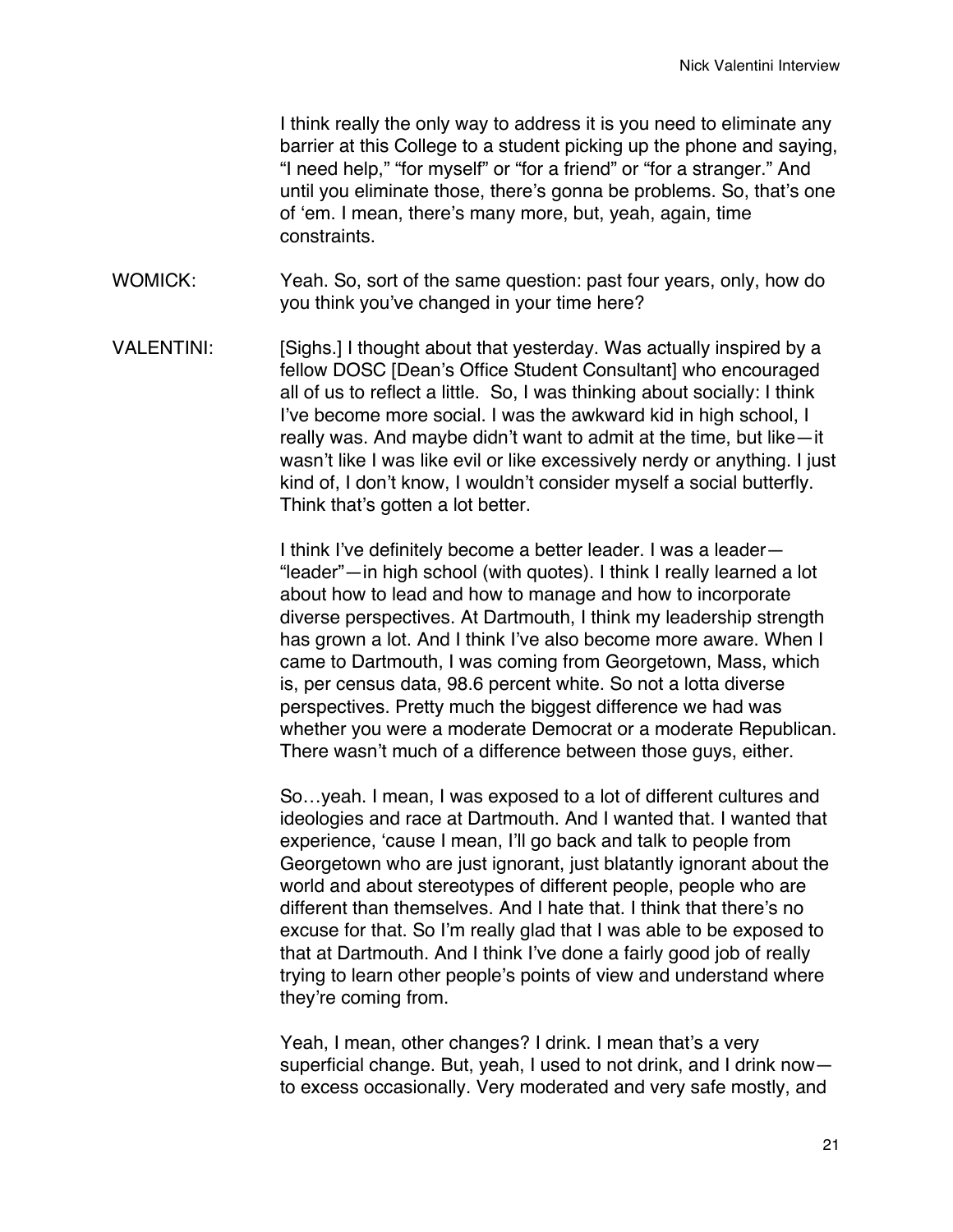I think really the only way to address it is you need to eliminate any barrier at this College to a student picking up the phone and saying, "I need help," "for myself" or "for a friend" or "for a stranger." And until you eliminate those, there's gonna be problems. So, that's one of 'em. I mean, there's many more, but, yeah, again, time constraints.

- WOMICK: Yeah. So, sort of the same question: past four years, only, how do you think you've changed in your time here?
- VALENTINI: [Sighs.] I thought about that yesterday. Was actually inspired by a fellow DOSC [Dean's Office Student Consultant] who encouraged all of us to reflect a little. So, I was thinking about socially: I think I've become more social. I was the awkward kid in high school, I really was. And maybe didn't want to admit at the time, but like—it wasn't like I was like evil or like excessively nerdy or anything. I just kind of, I don't know, I wouldn't consider myself a social butterfly. Think that's gotten a lot better.

I think I've definitely become a better leader. I was a leader— "leader"—in high school (with quotes). I think I really learned a lot about how to lead and how to manage and how to incorporate diverse perspectives. At Dartmouth, I think my leadership strength has grown a lot. And I think I've also become more aware. When I came to Dartmouth, I was coming from Georgetown, Mass, which is, per census data, 98.6 percent white. So not a lotta diverse perspectives. Pretty much the biggest difference we had was whether you were a moderate Democrat or a moderate Republican. There wasn't much of a difference between those guys, either.

So…yeah. I mean, I was exposed to a lot of different cultures and ideologies and race at Dartmouth. And I wanted that. I wanted that experience, 'cause I mean, I'll go back and talk to people from Georgetown who are just ignorant, just blatantly ignorant about the world and about stereotypes of different people, people who are different than themselves. And I hate that. I think that there's no excuse for that. So I'm really glad that I was able to be exposed to that at Dartmouth. And I think I've done a fairly good job of really trying to learn other people's points of view and understand where they're coming from.

Yeah, I mean, other changes? I drink. I mean that's a very superficial change. But, yeah, I used to not drink, and I drink now to excess occasionally. Very moderated and very safe mostly, and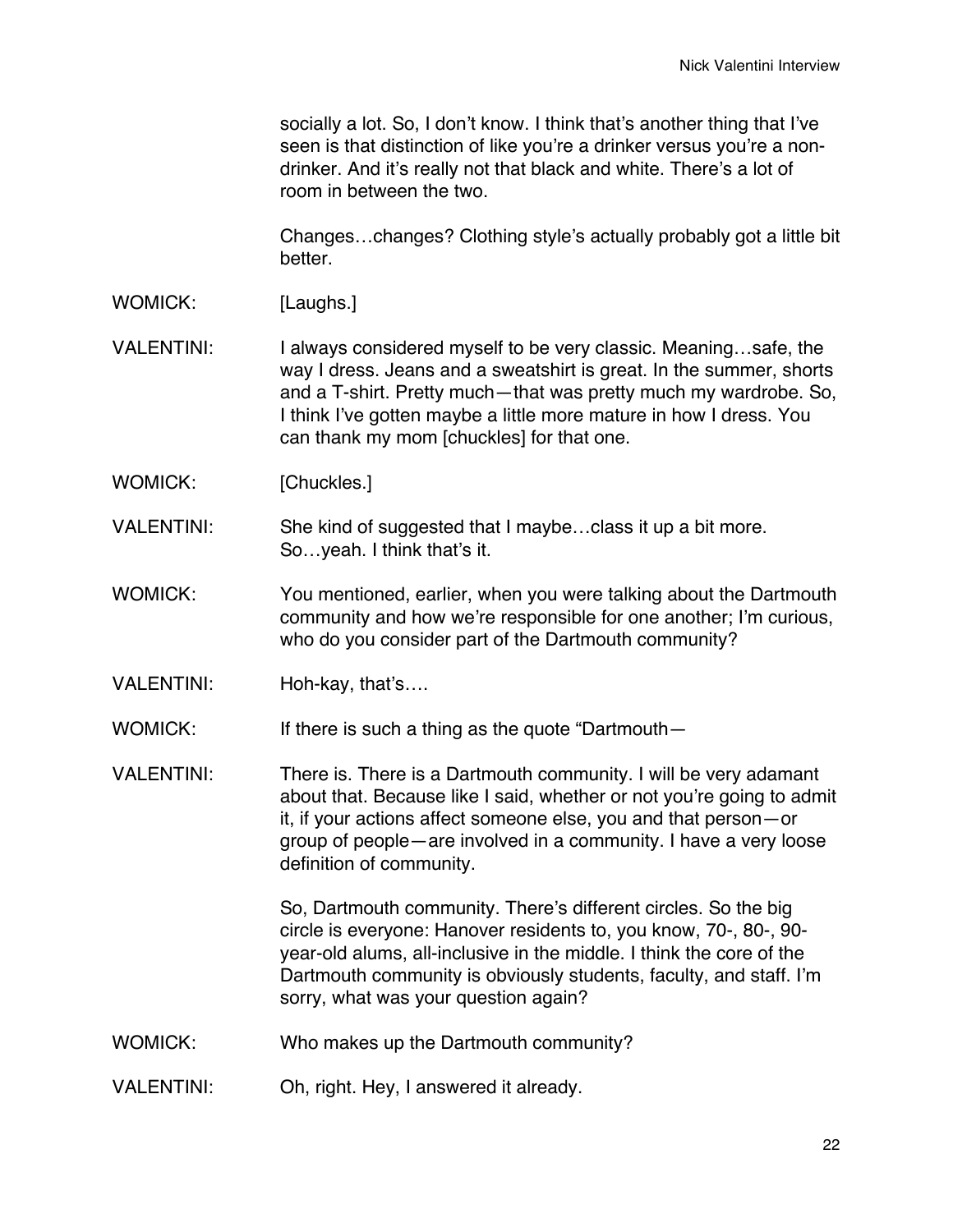socially a lot. So, I don't know. I think that's another thing that I've seen is that distinction of like you're a drinker versus you're a nondrinker. And it's really not that black and white. There's a lot of room in between the two.

Changes…changes? Clothing style's actually probably got a little bit better.

WOMICK: [Laughs.]

VALENTINI: I always considered myself to be very classic. Meaning...safe, the way I dress. Jeans and a sweatshirt is great. In the summer, shorts and a T-shirt. Pretty much—that was pretty much my wardrobe. So, I think I've gotten maybe a little more mature in how I dress. You can thank my mom [chuckles] for that one.

WOMICK: [Chuckles.]

VALENTINI: She kind of suggested that I maybe…class it up a bit more. So…yeah. I think that's it.

- WOMICK: You mentioned, earlier, when you were talking about the Dartmouth community and how we're responsible for one another; I'm curious, who do you consider part of the Dartmouth community?
- VALENTINI: Hoh-kay, that's....

WOMICK: If there is such a thing as the quote "Dartmouth—

VALENTINI: There is. There is a Dartmouth community. I will be very adamant about that. Because like I said, whether or not you're going to admit it, if your actions affect someone else, you and that person—or group of people—are involved in a community. I have a very loose definition of community.

> So, Dartmouth community. There's different circles. So the big circle is everyone: Hanover residents to, you know, 70-, 80-, 90 year-old alums, all-inclusive in the middle. I think the core of the Dartmouth community is obviously students, faculty, and staff. I'm sorry, what was your question again?

- WOMICK: Who makes up the Dartmouth community?
- VALENTINI: Oh, right. Hey, I answered it already.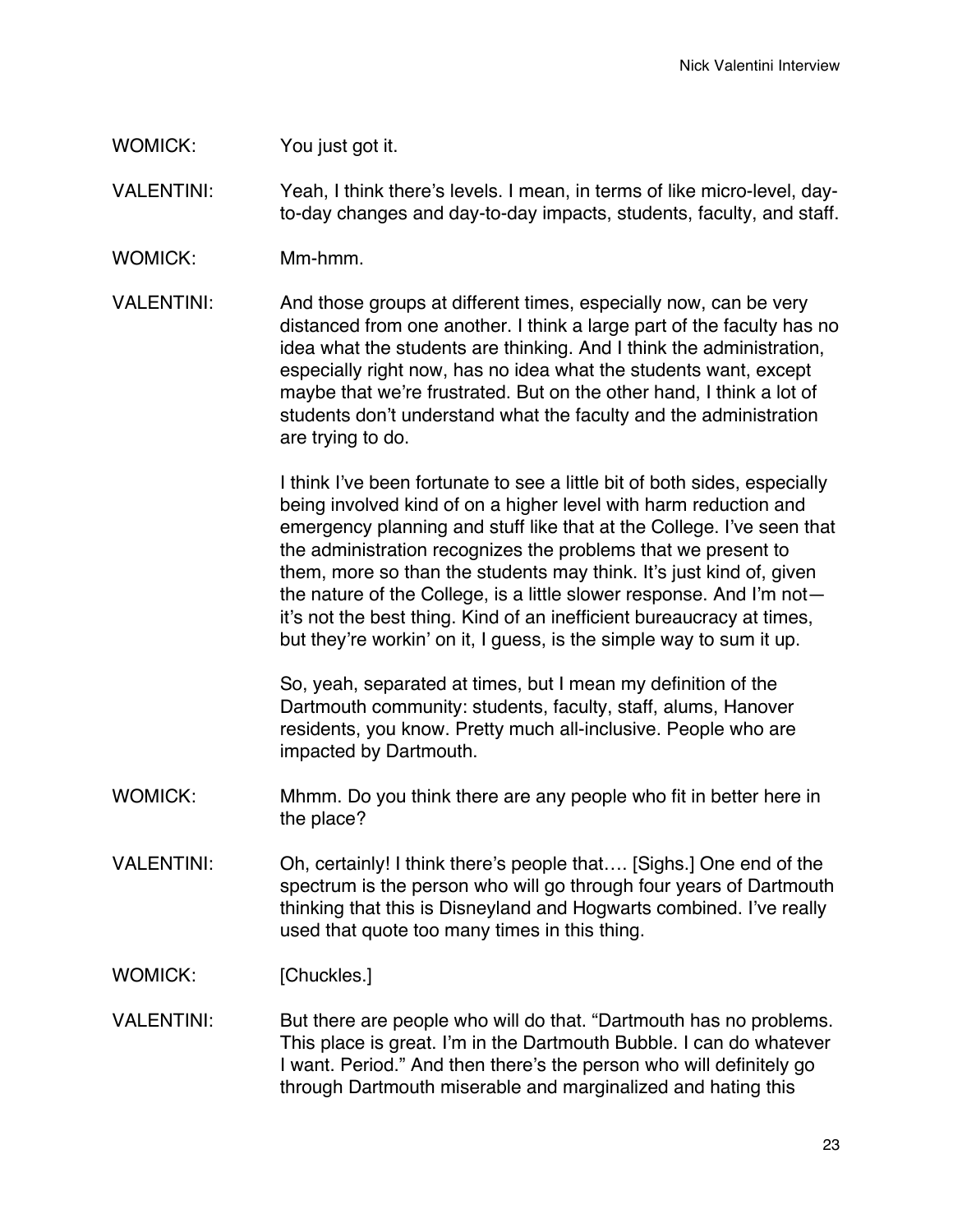## WOMICK: You just got it.

VALENTINI: Yeah, I think there's levels. I mean, in terms of like micro-level, dayto-day changes and day-to-day impacts, students, faculty, and staff.

- WOMICK: Mm-hmm.
- VALENTINI: And those groups at different times, especially now, can be very distanced from one another. I think a large part of the faculty has no idea what the students are thinking. And I think the administration, especially right now, has no idea what the students want, except maybe that we're frustrated. But on the other hand, I think a lot of students don't understand what the faculty and the administration are trying to do.

I think I've been fortunate to see a little bit of both sides, especially being involved kind of on a higher level with harm reduction and emergency planning and stuff like that at the College. I've seen that the administration recognizes the problems that we present to them, more so than the students may think. It's just kind of, given the nature of the College, is a little slower response. And I'm not it's not the best thing. Kind of an inefficient bureaucracy at times, but they're workin' on it, I guess, is the simple way to sum it up.

So, yeah, separated at times, but I mean my definition of the Dartmouth community: students, faculty, staff, alums, Hanover residents, you know. Pretty much all-inclusive. People who are impacted by Dartmouth.

- WOMICK: Mhmm. Do you think there are any people who fit in better here in the place?
- VALENTINI: Oh, certainly! I think there's people that…. [Sighs.] One end of the spectrum is the person who will go through four years of Dartmouth thinking that this is Disneyland and Hogwarts combined. I've really used that quote too many times in this thing.

WOMICK: [Chuckles.]

VALENTINI: But there are people who will do that. "Dartmouth has no problems. This place is great. I'm in the Dartmouth Bubble. I can do whatever I want. Period." And then there's the person who will definitely go through Dartmouth miserable and marginalized and hating this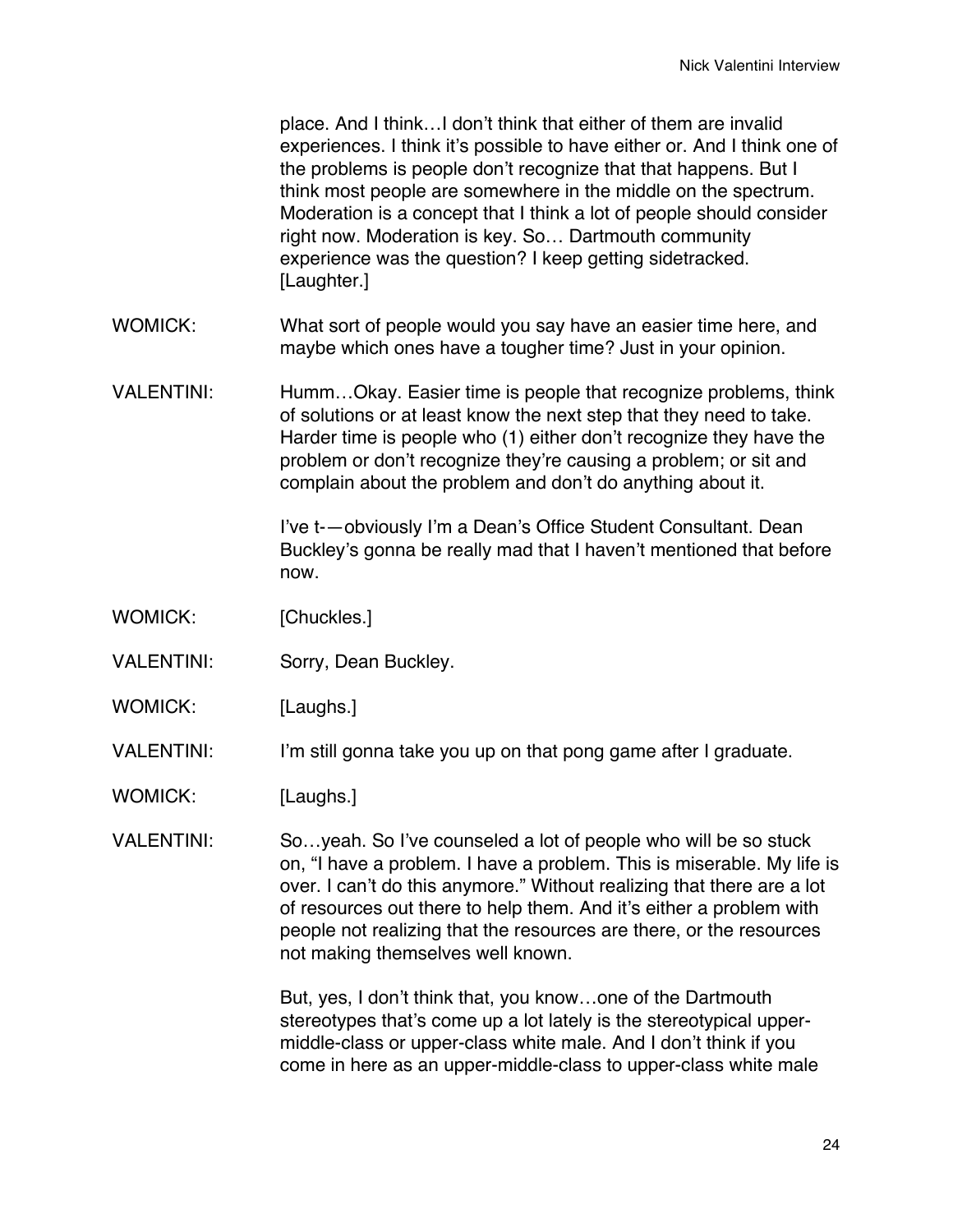place. And I think…I don't think that either of them are invalid experiences. I think it's possible to have either or. And I think one of the problems is people don't recognize that that happens. But I think most people are somewhere in the middle on the spectrum. Moderation is a concept that I think a lot of people should consider right now. Moderation is key. So… Dartmouth community experience was the question? I keep getting sidetracked. [Laughter.]

- WOMICK: What sort of people would you say have an easier time here, and maybe which ones have a tougher time? Just in your opinion.
- VALENTINI: Humm…Okay. Easier time is people that recognize problems, think of solutions or at least know the next step that they need to take. Harder time is people who (1) either don't recognize they have the problem or don't recognize they're causing a problem; or sit and complain about the problem and don't do anything about it.

I've t-—obviously I'm a Dean's Office Student Consultant. Dean Buckley's gonna be really mad that I haven't mentioned that before now.

- WOMICK: [Chuckles.]
- VALENTINI: Sorry, Dean Buckley.
- WOMICK: [Laughs.]
- VALENTINI: I'm still gonna take you up on that pong game after I graduate.
- WOMICK: [Laughs.]
- VALENTINI: So…yeah. So I've counseled a lot of people who will be so stuck on, "I have a problem. I have a problem. This is miserable. My life is over. I can't do this anymore." Without realizing that there are a lot of resources out there to help them. And it's either a problem with people not realizing that the resources are there, or the resources not making themselves well known.

But, yes, I don't think that, you know…one of the Dartmouth stereotypes that's come up a lot lately is the stereotypical uppermiddle-class or upper-class white male. And I don't think if you come in here as an upper-middle-class to upper-class white male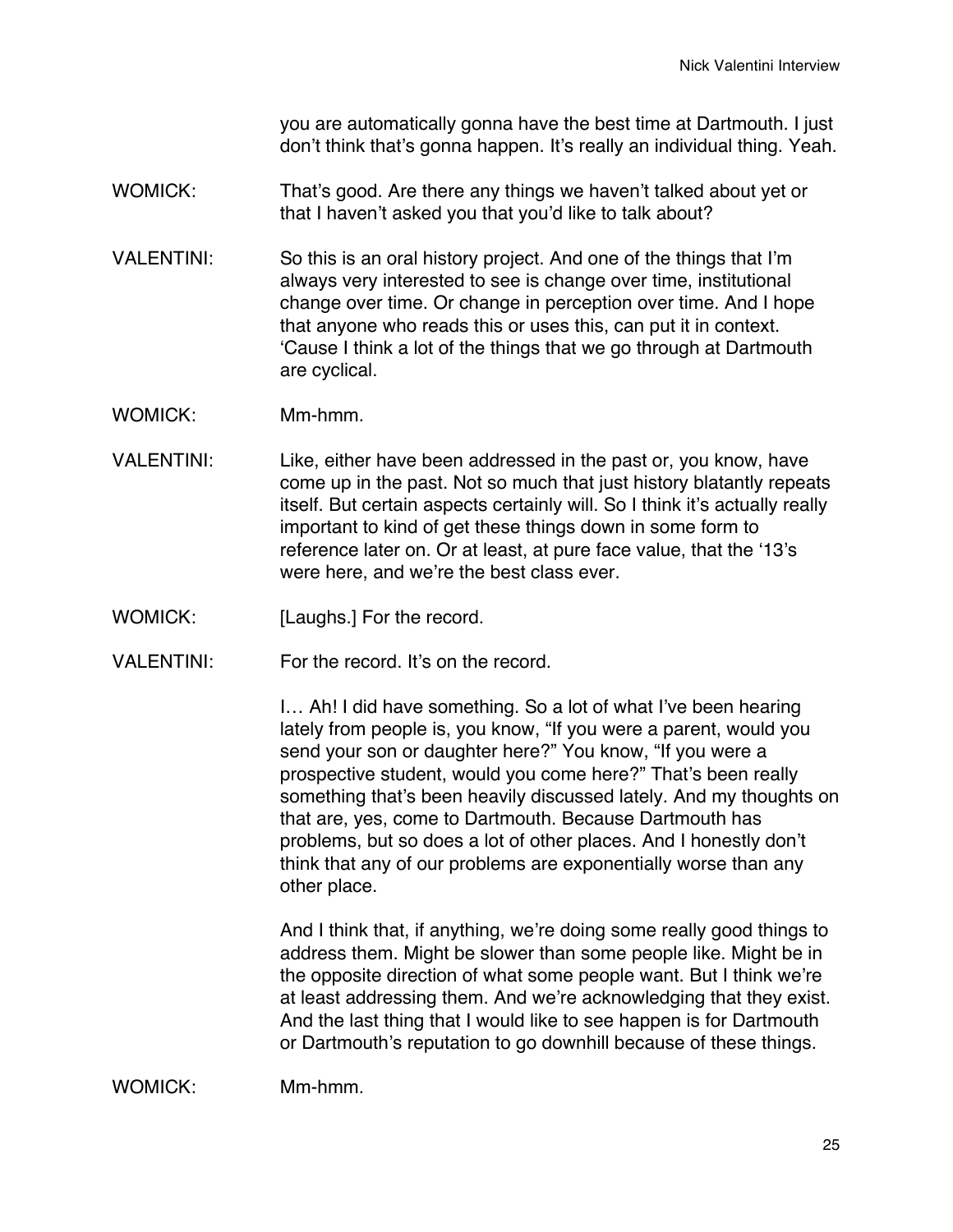you are automatically gonna have the best time at Dartmouth. I just don't think that's gonna happen. It's really an individual thing. Yeah.

- WOMICK: That's good. Are there any things we haven't talked about yet or that I haven't asked you that you'd like to talk about?
- VALENTINI: So this is an oral history project. And one of the things that I'm always very interested to see is change over time, institutional change over time. Or change in perception over time. And I hope that anyone who reads this or uses this, can put it in context. 'Cause I think a lot of the things that we go through at Dartmouth are cyclical.
- WOMICK: Mm-hmm.
- VALENTINI: Like, either have been addressed in the past or, you know, have come up in the past. Not so much that just history blatantly repeats itself. But certain aspects certainly will. So I think it's actually really important to kind of get these things down in some form to reference later on. Or at least, at pure face value, that the '13's were here, and we're the best class ever.
- WOMICK: [Laughs.] For the record.
- VALENTINI: For the record. It's on the record.

I… Ah! I did have something. So a lot of what I've been hearing lately from people is, you know, "If you were a parent, would you send your son or daughter here?" You know, "If you were a prospective student, would you come here?" That's been really something that's been heavily discussed lately. And my thoughts on that are, yes, come to Dartmouth. Because Dartmouth has problems, but so does a lot of other places. And I honestly don't think that any of our problems are exponentially worse than any other place.

And I think that, if anything, we're doing some really good things to address them. Might be slower than some people like. Might be in the opposite direction of what some people want. But I think we're at least addressing them. And we're acknowledging that they exist. And the last thing that I would like to see happen is for Dartmouth or Dartmouth's reputation to go downhill because of these things.

WOMICK: Mm-hmm.